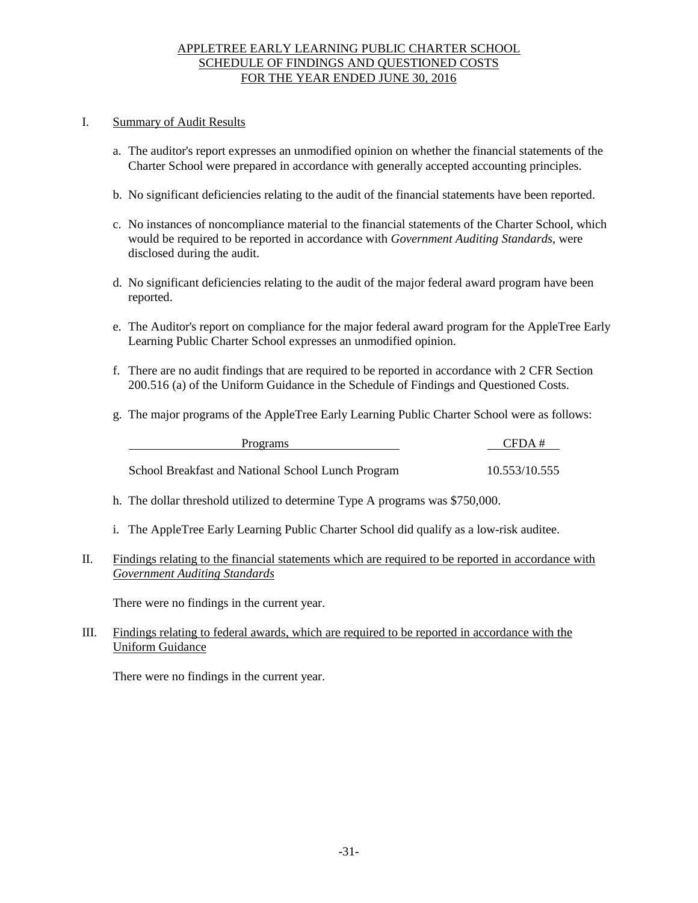

# **KENDALL, PREBOLA AND JONES**

Certified Public Accountants PO BOX 259 BEDFORD, PENNSYLVANIA 15522-0259 (814) 623-1880 FAX (814) 623-7548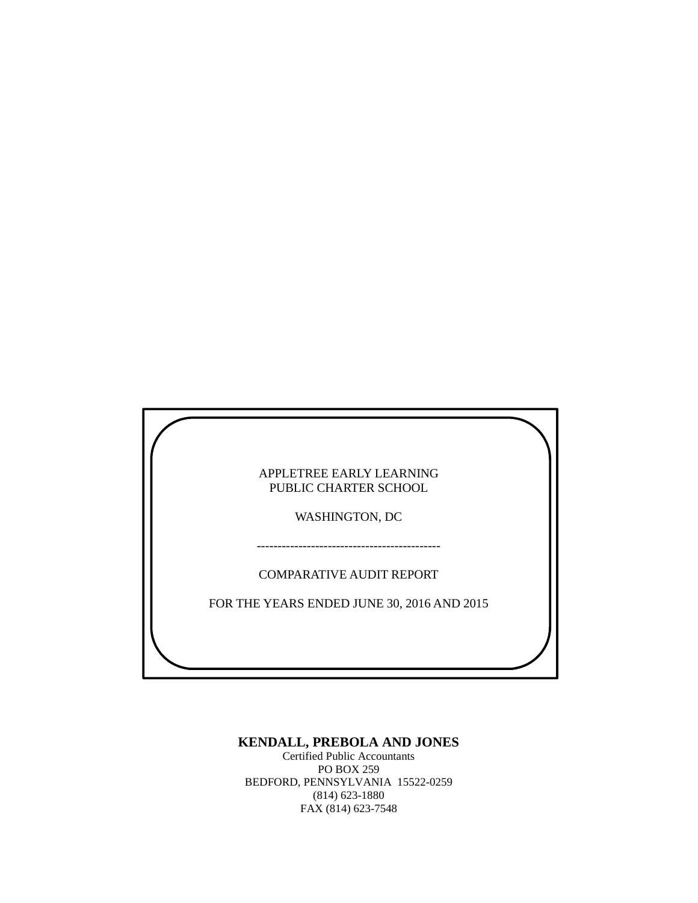# I N D E X

|                                                                                                                                                                                                                          | Page           |
|--------------------------------------------------------------------------------------------------------------------------------------------------------------------------------------------------------------------------|----------------|
| <b>Independent Auditor's Report</b>                                                                                                                                                                                      | $1-2$          |
| Comparative Statements of Financial Position,<br>June 30, 2016 and 2015                                                                                                                                                  | 3              |
| Comparative Statements of Activities, For the Years Ended<br>June 30, 2016 and 2015                                                                                                                                      | $\overline{4}$ |
| Comparative Statements of Cash Flows, For the Years Ended<br>June 30, 2016 and 2015                                                                                                                                      | 5              |
| <b>Notes to Financial Statements</b>                                                                                                                                                                                     | $6 - 18$       |
| Supplemental Information                                                                                                                                                                                                 |                |
| Schedule 1 - Comparative Schedules of Functional Expenses,<br>For the Years Ended June 30, 2016 and 2015                                                                                                                 | $19-20$        |
| Schedule 2 - Comparative Schedules of Average Cost per Student,<br>For the Years Ended June 30, 2016 and 2015                                                                                                            | 21             |
| Schedule 3 - Schedule of Expenditures of Federal Awards,<br>For the Year Ended June 30, 2016                                                                                                                             | $22 - 23$      |
| Notes to Schedule of Expenditures of Federal Awards                                                                                                                                                                      | $24 - 25$      |
| Independent Auditor's Report on Internal Control over Financial Reporting<br>and on Compliance and Other Matters Based on an Audit of Financial<br>Statements Performed in Accordance with Government Auditing Standards | $26 - 27$      |
| Independent Auditor's Report on Compliance for Each Major Program and on<br>Internal Control over Compliance Required by the Uniform Guidance                                                                            | 28-29          |
| Summary Schedule of Prior Audit Findings, For the Year Ended June 30, 2016                                                                                                                                               | 30             |
| Schedule of Findings and Questioned Costs, For the Year Ended June 30, 2016                                                                                                                                              | 31             |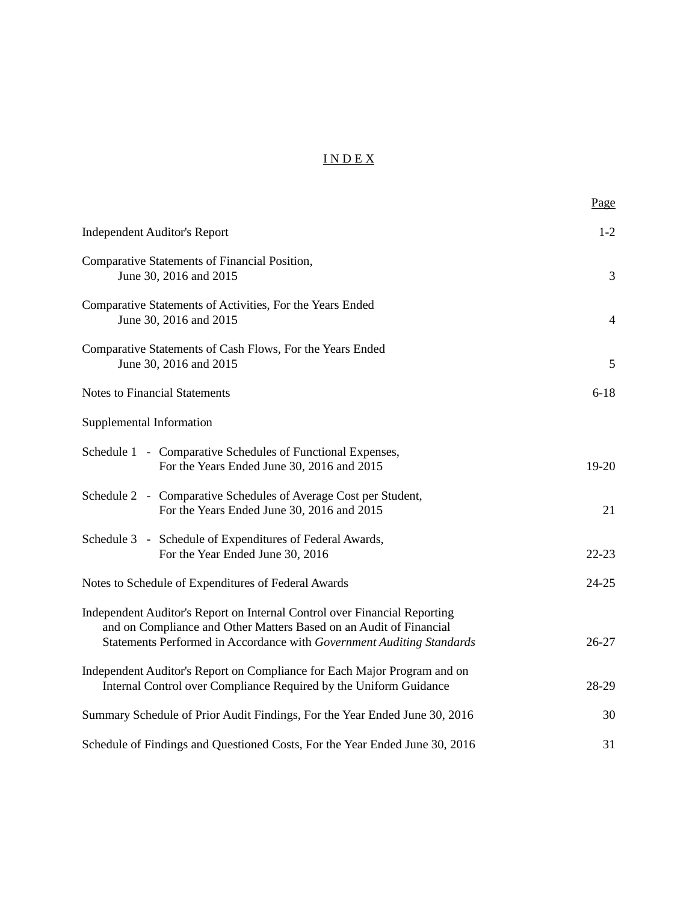# Kendall, Prebola and Jones, LLC

Certified Public Accountants

The Board of Trustees AppleTree Early Learning Public Charter School 415 Michigan Ave, NE Washington, DC 20017

#### INDEPENDENT AUDITOR'S REPORT

#### *Report on the Financial Statements*

We have audited the accompanying financial statements of the AppleTree Early Learning Public Charter School (a nonprofit organization), which comprise the statements of financial position as of June 30, 2016 and 2015, and the related statements of activities and cash flows for the years then ended, and the related notes to the financial statements.

#### *Management's Responsibility for the Financial Statements*

Management is responsible for the preparation and fair presentation of these financial statements in accordance with accounting principles generally accepted in the United States of America; this includes the design, implementation, and maintenance of internal control relevant to the preparation and fair presentation of financial statements that are free from material misstatement, whether due to fraud or error.

#### *Auditor's Responsibility*

Our responsibility is to express an opinion on these financial statements based on our audits. We conducted our audits in accordance with auditing standards generally accepted in the United States of America and the standards applicable to financial audits contained in *Government Auditing Standards*, issued by the Comptroller General of the United States. Those standards require that we plan and perform the audits to obtain reasonable assurance about whether the financial statements are free from material misstatement.

An audit involves performing procedures to obtain audit evidence about the amounts and disclosures in the financial statements. The procedures selected depend on the auditor's judgment, including the assessment of the risks of material misstatement of the financial statements, whether due to fraud or error. In making those risk assessments, the auditor considers internal control relevant to the entity's preparation and fair presentation of the financial statements in order to design audit procedures that are appropriate in the circumstances, but not for the purpose of expressing an opinion on the effectiveness of the entity's internal control. Accordingly, we express no such opinion. An audit also includes evaluating the appropriateness of accounting policies used and the reasonableness of significant accounting estimates made by management, as well as evaluating the overall presentation of the financial statements.

We believe that the audit evidence we have obtained is sufficient and appropriate to provide a basis for our audit opinion.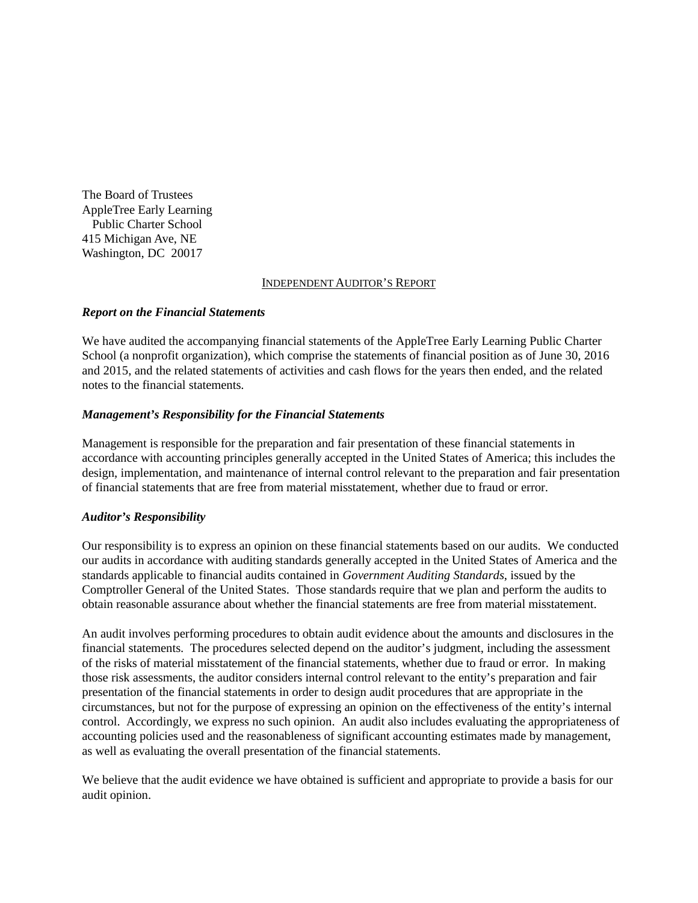# *Opinion*

In our opinion, the financial statements referred to above present fairly, in all material respects, the financial position of the AppleTree Early Learning Public Charter School, as of June 30, 2016 and 2015, and the changes in its net assets and its cash flows for the years then ended in accordance with accounting principles generally accepted in the United States of America.

# *Other Matters*

Our audits were conducted for the purpose of forming an opinion on the financial statements as a whole. The supplemental schedules of functional expenses and schedules of average cost per student are presented for purposes of additional analysis and are not a required part of the financial statements. In addition, the accompanying Schedule of Expenditures of Federal Awards, as required by Title 2 U.S. Code of Federal Regulations (CFR) Part 200, *Uniform Administrative Requirements, Cost Principles, and Audit Requirements for Federal Awards*, is presented for purposes of additional analysis and is not a required part of the financial statements. Such information is the responsibility of management and was derived from and relates directly to the underlying accounting and other records used to prepare the financial statements. The information has been subjected to the auditing procedures applied in the audit of the financial statements and certain additional procedures, including comparing and reconciling such information directly to the underlying accounting and other records used to prepare the financial statements or to the financial statements themselves, and other additional procedures in accordance with auditing standards generally accepted in the United States of America. In our opinion, the information is fairly stated in all material respects in relation to the financial statements as a whole.

# *Other Reporting Required by Government Auditing Standards*

In accordance with *Government Auditing Standards*, we have also issued our report dated October 14, 2016, on our consideration of the AppleTree Early Learning Public Charter School's internal control over financial reporting and on our tests of its compliance with certain provisions of laws, regulations, contracts and grant agreements and other matters. The purpose of that report is to describe the scope of our testing of internal control over financial reporting and compliance and the results of that testing, and not to provide an opinion on the internal control over financial reporting or on compliance. That report is an integral part of an audit performed in accordance with *Government Auditing Standards* in considering the AppleTree Early Learning Public Charter School's internal control over financial reporting and compliance.

> Kendall, Prebola and Jones Certified Public Accountants

Bedford, Pennsylvania October 14, 2016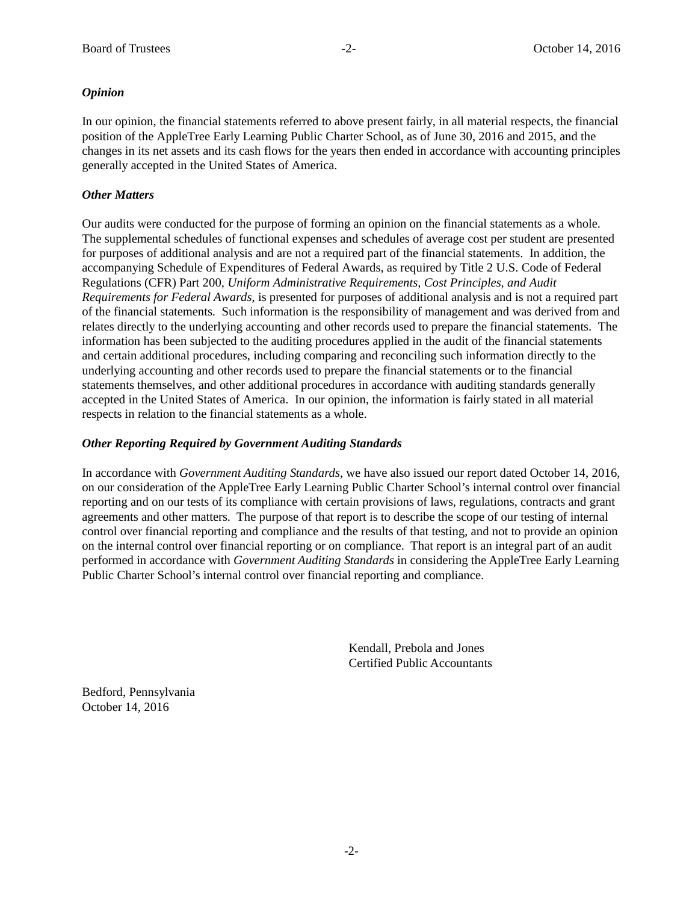# APPLETREE EARLY LEARNING PUBLIC CHARTER SCHOOL COMPARATIVE STATEMENTS OF FINANCIAL POSITION JUNE 30, 2016 AND 2015

| <b>ASSETS</b>                                                                                                                                                                                                                                         | June 30, 2016                                                             | June 30, 2015                                                        |
|-------------------------------------------------------------------------------------------------------------------------------------------------------------------------------------------------------------------------------------------------------|---------------------------------------------------------------------------|----------------------------------------------------------------------|
|                                                                                                                                                                                                                                                       |                                                                           |                                                                      |
| <b>Current Assets:</b><br>Cash and Cash Equivalents<br>Cash held in Trust for Debt Service<br><b>Accounts Receivable</b><br><b>Grants Receivable</b>                                                                                                  | \$<br>3,723,719<br>170,507<br>304,504                                     | \$<br>2,832,534<br>207,941<br>121,818<br>53,349                      |
| Prepaid Expenses                                                                                                                                                                                                                                      | 60,129                                                                    | 122,908                                                              |
| <b>Total Current Assets</b>                                                                                                                                                                                                                           | 4,258,859<br>\$                                                           | 3,338,550                                                            |
| <b>Fixed Assets:</b><br>Land<br>Furniture and Equipment<br>Leasehold Improvements<br>Less: Accumulated Depreciation and Amortization                                                                                                                  | \$<br>184,418<br>831,976<br>5,026,764<br>(1,805,988)                      | \$<br>184,418<br>800,037<br>5,018,234<br>(1,350,436)                 |
| <b>Total Fixed Assets</b>                                                                                                                                                                                                                             | 4,237,170<br>\$                                                           | 4,652,253<br>\$                                                      |
| Other Assets:<br>Deposits<br>Bond Issuance Costs, Net of Amortization                                                                                                                                                                                 | \$<br>54,741<br>219,517                                                   | \$<br>50,312<br>238,886                                              |
| <b>Total Other Assets</b>                                                                                                                                                                                                                             | \$<br>274,258                                                             | 289,198<br>æ.                                                        |
| <b>TOTAL ASSETS</b>                                                                                                                                                                                                                                   | 8,770,287<br>\$                                                           | 8,280,001                                                            |
| <b>LIABILITIES AND NET ASSETS</b>                                                                                                                                                                                                                     |                                                                           |                                                                      |
| <b>Current Liabilities:</b><br>Accounts Payable and Accrued Expenses<br>Due to Related Parties, Net<br>Payroll and Related Liabilities<br><b>Deferred Tuition Fees</b><br><b>Current Portion of Bonds Payable</b><br><b>Total Current Liabilities</b> | \$<br>198,762<br>95,412<br>618,981<br>4,063<br>219,792<br>1,137,010<br>\$ | \$<br>181,005<br>177,675<br>581,693<br>5,618<br>219,792<br>1,165,783 |
|                                                                                                                                                                                                                                                       |                                                                           |                                                                      |
| Long-Term Liabilities:<br><b>Bonds Payable</b><br>Less: Current Portion                                                                                                                                                                               | \$<br>2,527,620<br>(219, 792)                                             | 2,747,412<br>\$<br>(219, 792)                                        |
| <b>Total Long-Term Liabilities</b>                                                                                                                                                                                                                    | 2,307,828                                                                 | 2,527,620                                                            |
| <b>Total Liabilities</b>                                                                                                                                                                                                                              | 3,444,838<br>S.                                                           | 3,693,403                                                            |
| Net Assets:<br>Unrestricted<br><b>Temporarily Restricted</b>                                                                                                                                                                                          | \$<br>5,325,449                                                           | 4,586,598                                                            |
| <b>Total Net Assets</b>                                                                                                                                                                                                                               | 5,325,449                                                                 | 4,586,598                                                            |
| TOTAL LIABILITIES AND NET ASSETS                                                                                                                                                                                                                      | 8,770,287                                                                 | 8,280,001                                                            |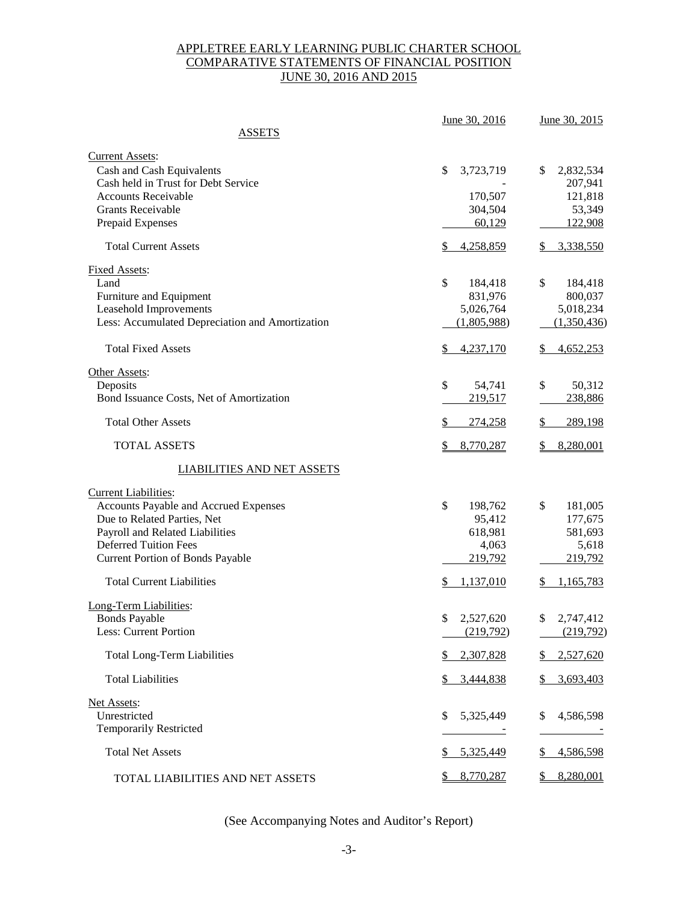#### APPLETREE EARLY LEARNING PUBLIC CHARTER SCHOOL COMPARATIVE STATEMENTS OF ACTIVITIES FOR THE YEARS ENDED JUNE 30, 2016 AND 2015

|                                                                                                                   |                 | June 30, 2015             |                            |                  |                           |                             |
|-------------------------------------------------------------------------------------------------------------------|-----------------|---------------------------|----------------------------|------------------|---------------------------|-----------------------------|
|                                                                                                                   | Unrestricted    | Temporarily<br>Restricted | Total                      | Unrestricted     | Temporarily<br>Restricted | Total                       |
| Revenues and Other Support:                                                                                       |                 |                           |                            |                  |                           |                             |
| Tuition - Per Pupil Funding Allocation                                                                            | 9,753,262<br>\$ | \$                        | 9,753,262<br><sup>\$</sup> | 9,674,871<br>\$  | $\mathcal{S}$<br>$\sim$   | \$<br>9,674,871             |
| <b>Tuition - Facilities Allowance</b>                                                                             | 2,039,972       | $\sim$                    | 2,039,972                  | 1,990,656        | $\sim$                    | 1,990,656                   |
| <b>Federal Entitlements and Grants</b>                                                                            | 958,174         |                           | 958,174                    | 664,873          |                           | 664,873                     |
| <b>State Government Grants</b>                                                                                    | 273,071         |                           | 273,071                    | 278,405          |                           | 278,405                     |
| <b>Local Sourced Funding</b>                                                                                      | 209,651         |                           | 209,651                    | 232,840          |                           | 232,840                     |
| <b>Student Activity Fees</b>                                                                                      | 316,071         | $\sim$                    | 316,071                    | 327,740          | $\overline{a}$            | 327,740                     |
| <b>Interest and Dividends</b>                                                                                     | 21,544          |                           | 21,544                     | 16,081           |                           | 16,081                      |
| Donated Services and Materials<br>Net Assets Released from Restrictions<br>(Satisfaction of Program Restrictions) | 2,600           |                           | 2,600                      | 29,150           |                           | 29,150                      |
| <b>Total Revenues and Other Support</b>                                                                           | 13,574,345      |                           | 13,574,345<br>\$           | \$13,214,616     |                           | 13,214,616<br>$\mathcal{S}$ |
| Expenses:                                                                                                         |                 |                           |                            |                  |                           |                             |
| <b>Educational Services</b>                                                                                       | \$11,427,990    | \$                        | 11,427,990<br>\$           | \$<br>10,850,256 | \$                        | \$<br>10,850,256            |
| General and Administrative<br>Fundraising                                                                         | 1,407,504       |                           | 1,407,504                  | 1,379,290        |                           | 1,379,290                   |
| <b>Total Expenses</b>                                                                                             | 12,835,494      |                           | 12,835,494<br>\$           | 12,229,546<br>\$ |                           | 12,229,546<br>\$            |
| Changes in Net Assets                                                                                             | \$<br>738,851   | \$<br>$\sim$              | \$<br>738,851              | \$<br>985,070    | \$<br>$\sim$              | \$<br>985,070               |
| Net Assets, Beginning of Year                                                                                     | 4,586,598       |                           | 4,586,598                  | 3,601,528        |                           | 3,601,528                   |
| Net Assets, End of Year                                                                                           | 5,325,449       |                           | 5,325,449                  | 4,586,598<br>\$  |                           | 4,586,598                   |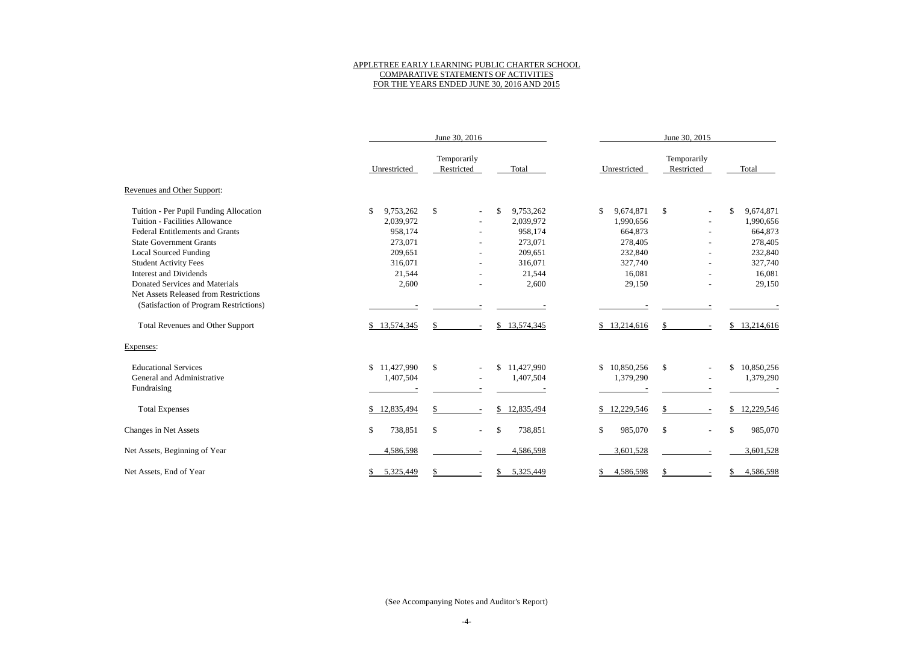# APPLETREE EARLY LEARNING PUBLIC CHARTER SCHOOL COMPARATIVE STATEMENTS OF CASH FLOWS FOR THE YEARS ENDED JUNE 30, 2016 AND 2015

|                                                                                                                                                                                                                                                                                                                                                                                                                                                                                                                |               | June 30, 2016                                                                                                             | June 30, 2015       |                                                                                                              |
|----------------------------------------------------------------------------------------------------------------------------------------------------------------------------------------------------------------------------------------------------------------------------------------------------------------------------------------------------------------------------------------------------------------------------------------------------------------------------------------------------------------|---------------|---------------------------------------------------------------------------------------------------------------------------|---------------------|--------------------------------------------------------------------------------------------------------------|
| <b>Cash Flows from Operating Activities:</b><br><b>Changes in Net Assets</b>                                                                                                                                                                                                                                                                                                                                                                                                                                   | $\mathcal{S}$ | 738,851                                                                                                                   | $\mathcal{S}$       | 985,070                                                                                                      |
| Adjustments to Reconcile Changes in Net Assets<br>to Net Cash Flows from Operating Activities:                                                                                                                                                                                                                                                                                                                                                                                                                 |               |                                                                                                                           |                     |                                                                                                              |
| Depreciation and Amortization<br><b>Amortization - Bond Issuance Costs</b><br>Accounts Receivable - (Increase)/Decrease<br>Grants Receivable - (Increase)/Decrease<br>Prepaid Expenses - (Increase)/Decrease<br>Deposits - (Increase)/Decrease<br>Restricted Cash - (Increase)/Decrease<br>Accounts Payable and Accrued Expenses - Increase/(Decrease)<br>Due to Related Parties, Net - Increase/(Decrease)<br>Payroll and Related Liabilities - Increase/(Decrease)<br>Deferred Revenue - Increase/(Decrease) |               | 455,552<br>19,369<br>(48, 689)<br>(251, 155)<br>62,779<br>(4, 429)<br>207,941<br>17,757<br>(82, 263)<br>37,288<br>(1,555) |                     | 423,193<br>19,369<br>(3,188)<br>211,048<br>(106, 486)<br>(312)<br>20,187<br>36,385<br>(15,279)<br>(178, 542) |
| Net Cash Flows from Operating Activities                                                                                                                                                                                                                                                                                                                                                                                                                                                                       | \$            | 1,151,446                                                                                                                 | \$                  | 1,391,445                                                                                                    |
| <b>Cash Flows from Investing Activities:</b><br><b>Purchase of Fixed Assets</b><br>Payments for Leasehold Improvements<br>Net Cash Flows from Investing Activities                                                                                                                                                                                                                                                                                                                                             | \$<br>\$      | (31,939)<br>(8,530)<br>(40, 469)                                                                                          | \$<br>\$            | (114, 562)<br>(516, 147)<br>(630,709)                                                                        |
| <b>Cash Flows from Financing Activities:</b><br><b>Repayment of Bond Proceeds</b>                                                                                                                                                                                                                                                                                                                                                                                                                              | \$            | (219,792)                                                                                                                 | \$                  | (219,792)                                                                                                    |
| Net Cash Flows from Financing Activities<br>Net Increase in Cash and Cash Equivalents                                                                                                                                                                                                                                                                                                                                                                                                                          | \$<br>\$      | (219,792)<br>891,185                                                                                                      | \$<br>$\mathcal{S}$ | (219,792)<br>540,944                                                                                         |
| Cash and Cash Equivalents at Beginning of Year                                                                                                                                                                                                                                                                                                                                                                                                                                                                 |               | 2,832,534                                                                                                                 |                     | 2,291,590                                                                                                    |
| Cash and Cash Equivalents at End of Year                                                                                                                                                                                                                                                                                                                                                                                                                                                                       | \$            | 3,723,719                                                                                                                 | \$                  | 2,832,534                                                                                                    |

Supplemental Disclosures:

- a) No income taxes were paid during the years ended June 30, 2016 and 2015.
- b) No interest was paid during the years ended June 30, 2016 and 2015.

Non-Cash Disclosure:

a) The payments for leasehold improvements for the year ended June 30, 2015, as presented in the Investing Activities, include the value of donated plumbing/construction work in the amount of \$29,150.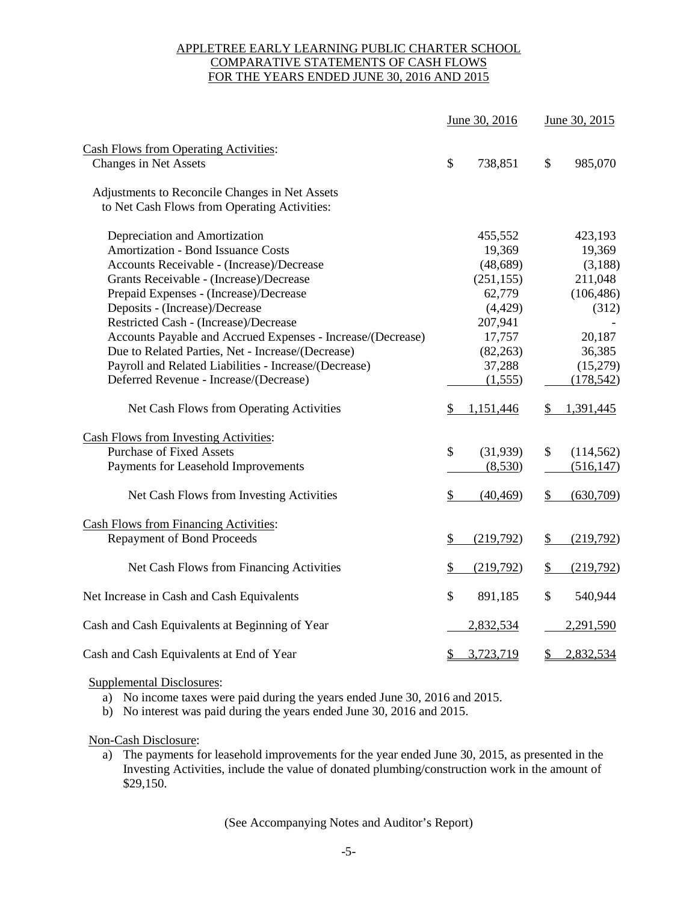## 1. ORGANIZATION

The AppleTree Early Learning Public Charter School (the Charter School), a District of Columbia Not-for-Profit Corporation, was incorporated on September 22, 2004, exclusively for educational purposes. The mission of the Charter School is to close the achievement gap before children get to kindergarten by providing three and four year olds with the social, emotional, and cognitive foundations that will enable them to succeed in school.

#### Description of Program Services

The Charter School is open to any Washington, DC, child in pre-school and pre-kindergarten and admission is free. The Charter School currently serves 653 children at six public charter preschool campuses across the District. In 2014-15, the Charter School successfully concluded its ten-year charter review with its authorizer, the DC Public Charter School Board, and received approval to increase its enrollment cap to 833 students by School Year 2016-2017.

The Charter School utilizes the comprehensive and evidence-based *Every Child Ready* instructional model that was developed by AppleTree Institute for Education Innovation with the assistance of an Investing in Innovation (i3) grant from the US Department of Education. The model builds language, literacy, and memory skills using regular assessments and data outcomes throughout the school year. Emphasis is placed on student growth, differentiated by students' baseline knowledge.

The Charter School's primary sources of support are local appropriations for charter schools from the District of Columbia Government.

#### 2. SUMMARY OF SIGNIFICANT ACCOUNTING POLICIES

The significant accounting policies of the Charter School are summarized below:

(a) Basis of Accounting and Presentation:

The accompanying financial statements have been prepared on the accrual basis of accounting, which presents financial position, activities, functional expenses, and cash flows in accordance with accounting principles generally accepted in the United States of America.

(b) Revenue Recognition:

#### **Federal and Charter School Funding**

The Charter School receives a student allocation from the District of Columbia as well as federal funding to cover the cost of academic expenses. The student allocation is on a per pupil basis and includes the academic year funding, special education funding, and a facilities allotment. The Charter School recognizes this funding in the year in which the school term is conducted. Funding received in advance of the school term is recorded as a refundable advance. Federal entitlements are recognized based on the allowable costs incurred.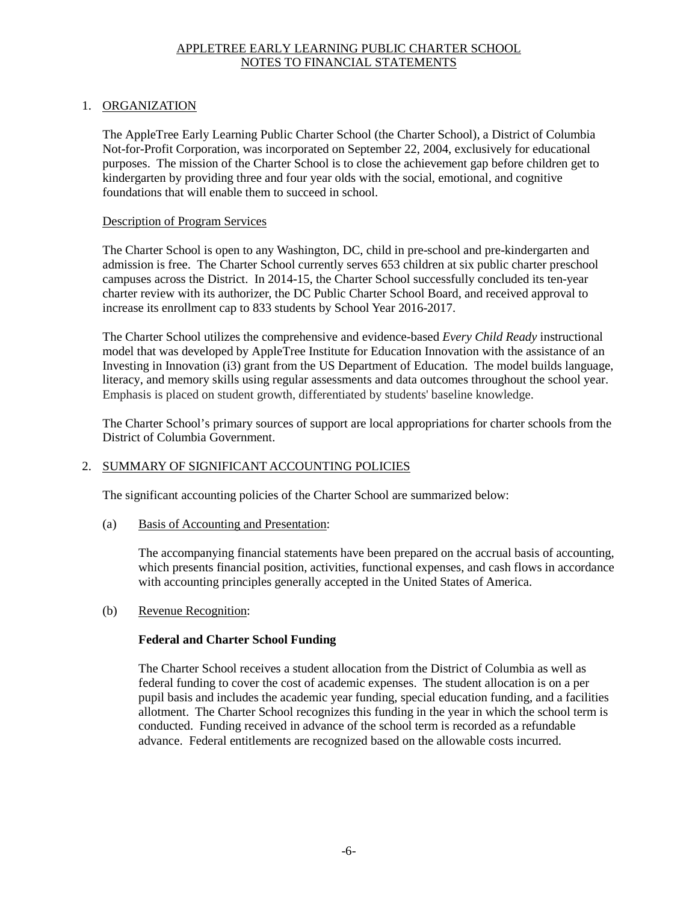# 2. SUMMARY OF SIGNIFICANT ACCOUNTING POLICIES: (Continued)

#### (b) Revenue Recognition: (Continued)

#### **Contributions**

The Charter School has adopted Financial Accounting Standards Board ASC No. 958-605-25, *Accounting for Contributions Received and Contributions Made.* As such, contributions are recognized as revenue when they are received or unconditionally pledged.

All contributions are available for unrestricted use unless specifically restricted by the donor. Contributions and promises to give with donor-imposed conditions are recognized as unrestricted support when the conditions on which they depend are substantially met. Contributions and promises to give with donor-imposed restrictions are reported as temporarily restricted support. Unconditional promises to give due in the next year are recorded at their net realizable value.

The Charter School reports gifts of equipment as unrestricted support unless explicit donor stipulations specify how the donated assets must be used. The Charter School reports expirations of donor restrictions when the donated or acquired assets are placed in service.

#### (c) Corporate Taxes:

The Charter School is exempt from federal and state income taxes (other than on unrelated business income) under the provisions of Section  $501(c)(3)$  of the Internal Revenue Code and similar state income tax laws. Accordingly, no provisions for income taxes have been provided for in the accompanying financial statements. The Charter School has been classified as other than a private foundation under Section  $509(a)(1)$  of the Internal Revenue Code and accordingly contributions qualify as a charitable tax deduction by the contributor under Section  $170(b)(i)(A)(ii)$ . The Charter School did not have any net unrelated business income for the year ended June 30, 2016.

The Charter School is also exempt from District of Columbia sales and personal property taxes.

#### (d) Grants:

Grant revenues are received primarily from Federal agencies and the District of Columbia Government and recorded as costs are incurred. These grants are subject to financial and compliance audits by the grantor agencies. No provision for possible adjustments for disallowed costs has been made in the accompanying financial statements, as management believes any such adjustment would not have a material effect on the financial statements.

Cash receipts in excess of costs incurred for grants are reflected as refundable advances until they are expended for the purpose of the grant, at which time they are recognized as unrestricted support. Costs incurred in excess of cash received are reflected as grants receivable.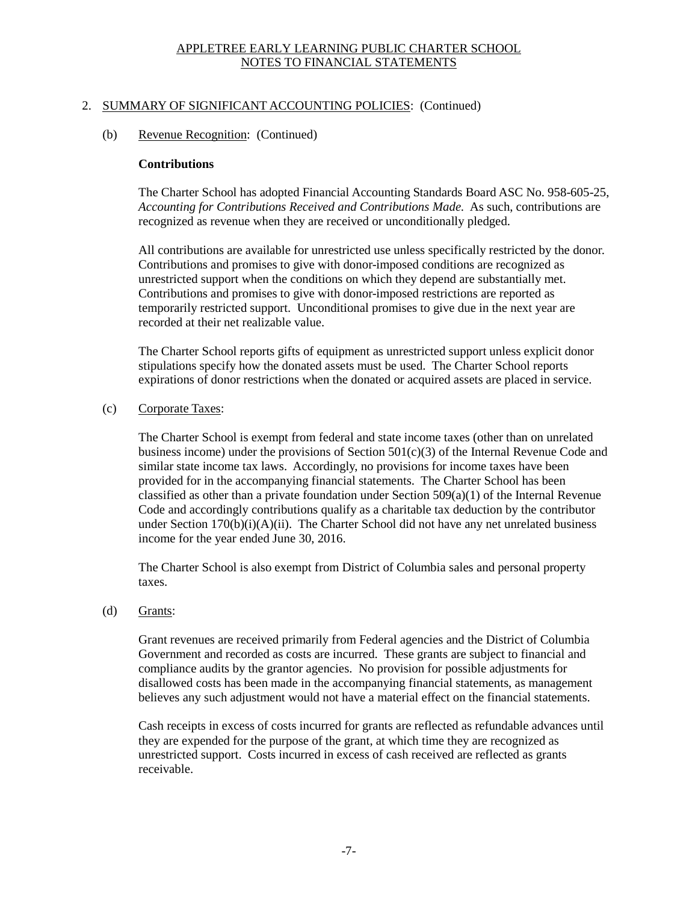# 2. SUMMARY OF SIGNIFICANT ACCOUNTING POLICIES: (Continued)

#### (e) Net Assets:

The Charter School has adopted Financial Accounting Standards Board ASC No. 958-205-05, *Financial Statements of Not-for-Profit Organizations*, which requires reporting information regarding its financial position and activities according to three classes of net assets.

Net assets and revenues, expenses, gains, and losses are classified based on the existence or absence of donor-imposed restrictions. Accordingly, net assets of the Charter School and changes therein are classified and reported as follows:

#### **Unrestricted Net Assets**

Net assets that are not subject to donor-imposed restrictions and over which the Board of Trustees has discretionary control. This classification includes net assets subject to donorimposed conditions, which have been met in the current year and net assets subject to donorimposed restrictions that have been released from restrictions.

#### **Temporarily Restricted Net Assets**

Net assets subject to donor-imposed restrictions that may meet, or will be met, by actions of the Charter School and/or the passage of time. When a restriction expires, temporarily restricted net assets are reclassified to unrestricted net assets and reported in the statement of activities as net assets released from restrictions. There were no temporarily restricted net assets at June 30, 2016. In addition, there were no net assets released from donor restrictions during the year.

#### **Permanently Restricted Net Assets**

Net assets subject to donor-imposed stipulations that they be maintained permanently by the Charter School. Generally, the donors of these assets permit the use of all or part of the income earned on any related investments for general or specific purposes. The Charter School did not have any permanently restricted net assets as of June 30, 2016.

#### (f) Donated Services, Materials and Facilities:

Donated services and materials are recognized as contributions in accordance with FASB ASC 958, *Accounting for Contributions Received and Contributions Made*, if the services received create or enhance nonfinancial assets or require specialized skills, are provided by individuals possessing those skills, and would typically need to be purchased if not provided by donation.

Contributed services and promises to give services that do not meet the above criteria are not recognized. In-kind contributions for space, supplies, and professional services are recorded in the Statement of Activities at estimated fair value and recognized as revenue and expense in the period they are received, except for donated fixed assets, which is recorded as revenue in the period received and the asset is depreciated over its estimated useful life.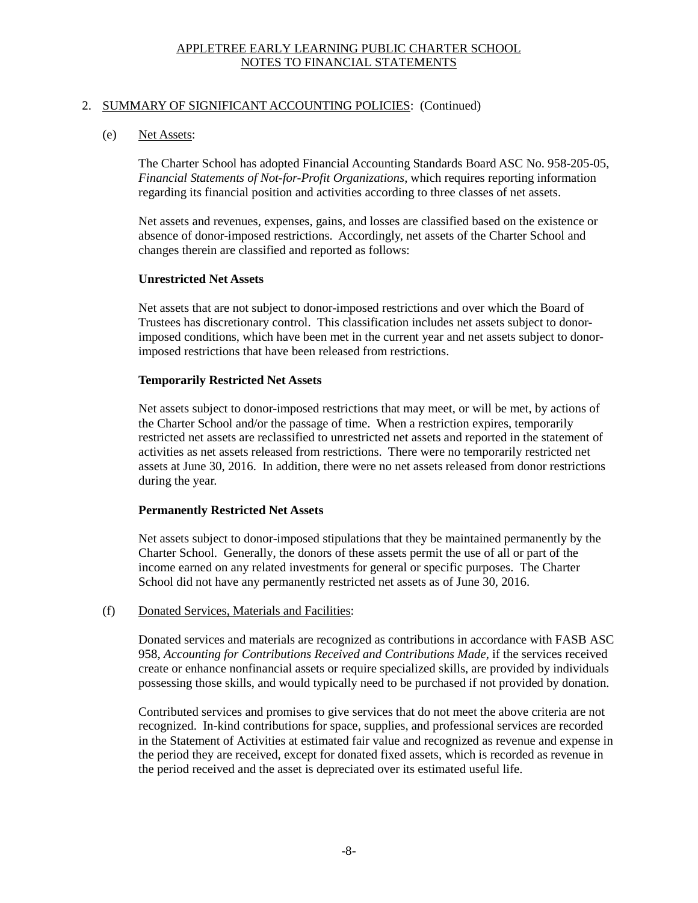# 2. SUMMARY OF SIGNIFICANT ACCOUNTING POLICIES: (Continued)

#### (f) Donated Services, Materials and Facilities: (Continued)

The estimated value of donated services and facilities has been recorded in the financial statements as follows:

|                                     | June 30, 2016                     | June 30, 2015 |        |  |
|-------------------------------------|-----------------------------------|---------------|--------|--|
| Facilities<br><b>Legal Services</b> | 2,600<br>$\overline{\phantom{0}}$ |               | 29,150 |  |
| Total                               | 2.600                             |               | 29.150 |  |

A number of volunteers donated significant amounts of their time in the Charter School's supporting services for which no value has been assigned. The time contributed by the Charter School's Board of Trustees is uncompensated and is not reflected as donated services.

#### (g) Functional Expense Allocation Policies and Procedures:

The schedule of functional expenses presents an allocation of each expense category between program services, general and administrative, and fundraising activities. Program service costs pertain to educating students and include direct student expenses, such as textbooks, materials, assessment material, and contractual educational services. General and administrative costs pertain to supporting activities. Fundraising costs relate to fundraising activities such as special events, fundraisers and soliciting of contributions.

Direct costs, where identifiable, are allocated in whole to the appropriate functional category. Other expenses that are not directly identifiable by program are allocated based on management estimates of use of resources.

#### (h) Use of Estimates:

The preparation of financial statements in conformity with accounting principles generally accepted in the United States of America requires management to make estimates and assumptions that affect the reported amounts of assets, liabilities, the disclosure of contingent assets and liabilities at the date of the financial statements, and the reported amounts of support and revenues and expenses during the reporting period. Actual results could differ from those estimates.

#### (i) Recognition of Salary Expense:

Salary expense is recognized in the year the service is rendered, which coincides with the academic year. Salaries unpaid at June 30 are recognized as expense and accrued salaries.

#### (j) Fair Value of Certain Financial Instruments:

Some of the Charter School's financial instruments are not measured at fair value on a recurring basis but are recorded at amounts that approximate fair value due to their liquid or short-term nature. Such accounts include cash, accounts receivable, prepaid expenses, accounts payable, and accrued expenses.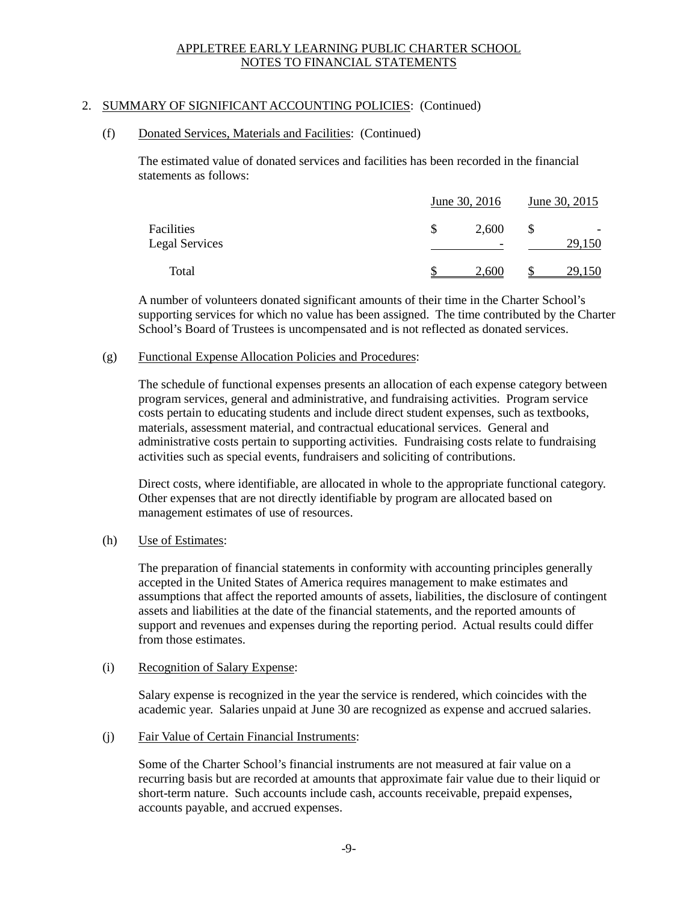# 3. ACCOUNTING FOR UNCERTAIN TAX POSITIONS:

Accounting principles generally accepted in the United States of America provide consistent guidance for the accounting for uncertainty in income taxes recognized in the Charter School's financial statements and prescribe a threshold of "more likely than not" for recognition of tax positions taken or expected to be taken in a tax return. The Charter School performed an evaluation of uncertain tax positions for the year ended June 30, 2016, and determined that there were no matters that would require recognition in the financial statements or that may have any effect on its tax-exempt status. As of June 30, 2016, the statute of limitations for tax years 2012 through 2014 remains open with the U.S. federal jurisdiction or the various states and local jurisdictions in which the organization files tax returns. It is the Charter School's policy to recognize interest and/or penalties related to uncertain tax positions, if any, in income tax expense. As of June 30, 2016, the Charter School had no accruals for interest and/or penalties.

# 4. CASH AND CASH EQUIVALENTS:

Cash at June 30, 2016 and 2015, totaled \$3,723,719 and \$2,832,534, respectively, and consisted of the following:

|                                       | June 30, 2016 | June 30, 2015 |           |  |
|---------------------------------------|---------------|---------------|-----------|--|
| Repurchase Account                    | 2,863,258     |               | 2,036,748 |  |
| Non-Interest Bearing Checking Account | 652,520       |               | 713,858   |  |
| Demand Deposit                        | 207,941       |               |           |  |
| Checks on Hand                        |               |               | 81,928    |  |
| Total                                 | 3.723.719     |               | 2.832.534 |  |

For purposes of the cash flow statement and financial statement presentation, cash and cash equivalents are short term, highly liquid investments with maturities of three months or less. Total cash and cash equivalents does not include cash held in trust for debt service.

The Charter School maintains its operating funds in two separate financial institutions. These checking accounts are covered under the Federal Deposit Insurance Corporation (FDIC) Program. Federal Deposit Insurance Corporation Insurance coverage is \$250,000 per account category. Deposits held in non-interest-bearing transaction accounts are aggregated with any interest-bearing deposits and the combined total insured up to \$250,000.

As of June 30, 2016 and 2015, \$382,895 and \$229,820, respectively, of the bank balance was deposited in excess of Federal Deposit Insurance Corporation limits. The Charter School has not experienced any losses related to these accounts and does not believe it is exposed to any significant credit risk on cash and cash equivalents.

#### Repurchase Agreement

The Charter School entered into a repurchase agreement with the Bank of Georgetown in which the bank agreed to transfer to the Charter School an interest in securities issued or guaranteed by the United States or an agency thereof against the transfer of funds from the Charter School to the respective bank.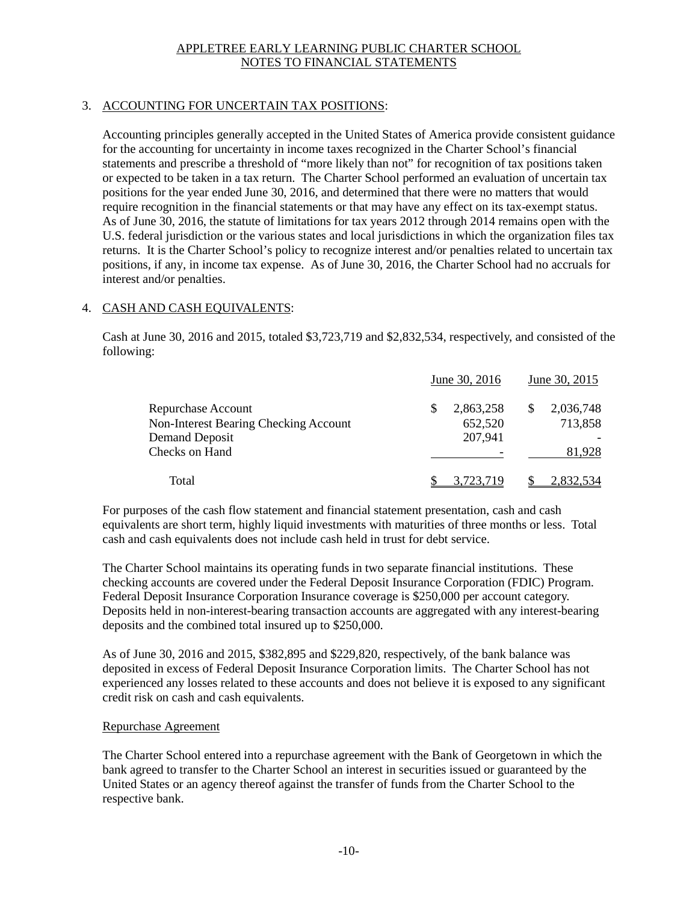# 4. CASH AND CASH EQUIVALENTS: (Continued)

# Repurchase Agreement (Continued)

Per the repurchase agreement, funds in excess of \$400,000 are transferred out on a daily basis and transferred back in the following day along with interest earned. The Charter School has not experienced any losses related to these accounts and does not believe it is exposed to any significant credit risk on cash and cash equivalents.

# Cash held in Trust for Debt Service

Under the terms of the indenture agreement executed in connection with the bonds payable, the Charter School has established a Debt Service Reserve Fund, held in trust as additional collateral for the debt for the purpose of covering any deficiency in bond payment requirements. The balance as of June 30, 2015 was \$207,941. On December 1, 2015, because no event of default or violation of loan covenants existed, the full amount of restricted cash held in the Debt Service Reserve Fund was released from its restriction.

# 5. ACCOUNTS AND GRANTS RECEIVABLE:

Accounts and grants receivable balances as of June 30, 2016 and 2015 consisted of the following:

|                                           | June 30, 2016 | June 30, 2015 |                |
|-------------------------------------------|---------------|---------------|----------------|
| <b>Accounts Receivable:</b>               |               |               |                |
| Per Pupil Funding                         | \$<br>41,472  | \$            | 51,304         |
| Reimbursable Expenses - Property Taxes    | 61,740        |               | 61,740         |
| <b>E-Rate Program</b>                     | 34,463        |               |                |
| United Planning Organization              | 31,850        |               |                |
| Reimbursable Expenses - Other             | 982           |               | 5,168          |
| <b>Student Activity Fees</b>              |               |               | 3,606          |
| <b>Total Accounts Receivable</b>          | 170,507       |               | <u>121,818</u> |
| Grants Receivable:                        |               |               |                |
| <b>SOAR</b> - Early Childhood             | \$<br>113,644 | \$            |                |
| <b>SOAR</b> - Increasing Academic Quality |               |               | 2,136          |
| <b>National Food Programs</b>             | 58,974        |               | 27,286         |
| Early Care and Education Assistance       | 20,574        |               | 17,598         |
| Medicaid - School Based Services          | 106,444       |               | 4,307          |
| <b>Healthy Schools Act</b>                | 2,754         |               | 1,269          |
| Other                                     | 2,114         |               | 753            |
| <b>Total Grants Receivable</b>            | 304,504       |               | 53,349         |

Accounts and grants receivable are current and considered by management to be fully collectible.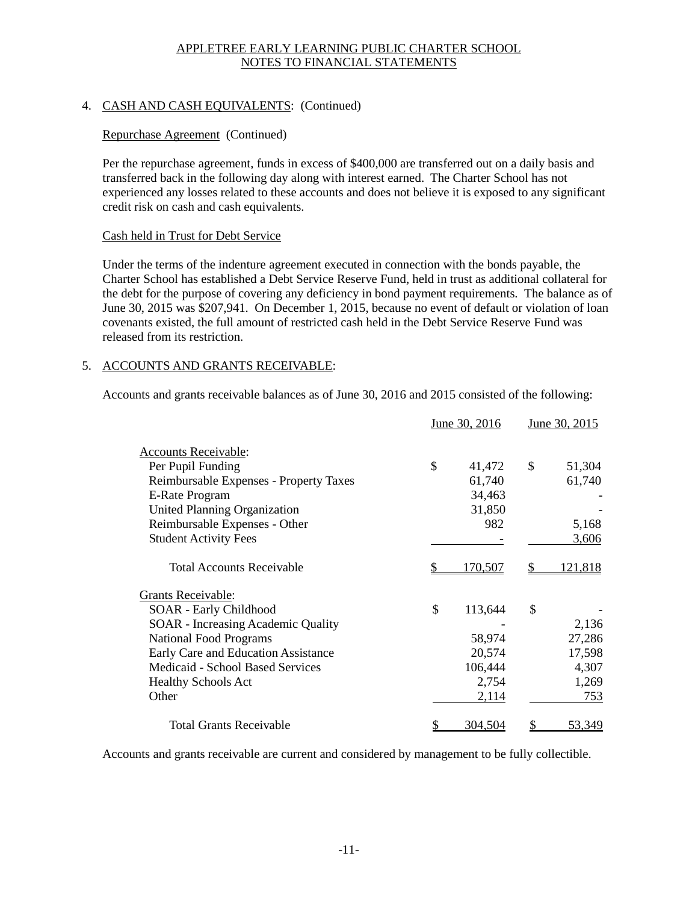# 5. ACCOUNTS AND GRANTS RECEIVABLE: (Continued)

Accounts and grants receivables are recorded when billed or accrued and reported net of an allowance for doubtful accounts, if any. Management provides for probable uncollectible amounts through bad debt expense and only after reasonable collection efforts have been exhausted. Management believes that no allowance for doubtful accounts is required at June 30, 2016 and 2015.

Trade receivables related to program service fees (activity fees, before and after care, etc.) are recognized as revenue at the time the program activity has occurred. Trade receivables are written off as uncollectible when payment has not been received after 180 days.

# 6. FIXED ASSETS:

June 30, 2016

Furniture and equipment are recorded at cost. Contributed property is recorded at fair market value at the date of the contribution. The Charter School uses a capitalization threshold of \$1,000 and an estimated useful life greater than one year. As assets are retired or otherwise disposed of, the cost and related accumulated depreciation are removed from the accounts and any resulting gain or loss is reflected in that period. Depreciation has been recorded on the straight-line method over the estimated useful lives of the assets. Major classifications of fixed assets and their estimated useful lives are as summarized below:

| $J^{\mu}$ un $\cup$ $J^{\mu}$ , $\sim$ $J^{\mu}$                                       | Depreciable<br>Life                    | Cost                                             | Accumulated<br>Depreciation                     |    | Net Book<br>Value                          |
|----------------------------------------------------------------------------------------|----------------------------------------|--------------------------------------------------|-------------------------------------------------|----|--------------------------------------------|
| Land<br>Furniture and Equipment<br><b>Computer Equipment</b><br>Leasehold Improvements | N/A<br>7 Years<br>3 Years<br>45 Months | \$<br>184,418<br>490,188<br>341,788<br>5,026,764 | \$<br>(421, 376)<br>(259, 930)<br>(1, 124, 682) | \$ | 184,418<br>68,812<br>81,858<br>3,902,082   |
| Total                                                                                  |                                        | \$<br>6,043,158                                  | (1,805,988)                                     | \$ | 4,237,170                                  |
| June 30, 2015                                                                          | Depreciable<br>Life                    | Cost                                             | Accumulated<br>Depreciation                     |    | Net Book<br>Value                          |
| Land<br>Furniture and Equipment<br>Computer Equipment<br>Leasehold Improvements        | N/A<br>7 Years<br>3 Years<br>45 Months | \$<br>184,418<br>482,329<br>317,708<br>5,018,234 | \$<br>(355,308)<br>(198, 182)<br>(796,946)      | \$ | 184,418<br>127,021<br>119,526<br>4,221,288 |
| Total                                                                                  |                                        | \$<br>6,002,689                                  | \$<br>(1,350,436)                               | S  | 4,652,253                                  |

Depreciation and amortization expense for the years ended June 30, 2016 and 2015, was \$455,552 and \$423,193, respectively.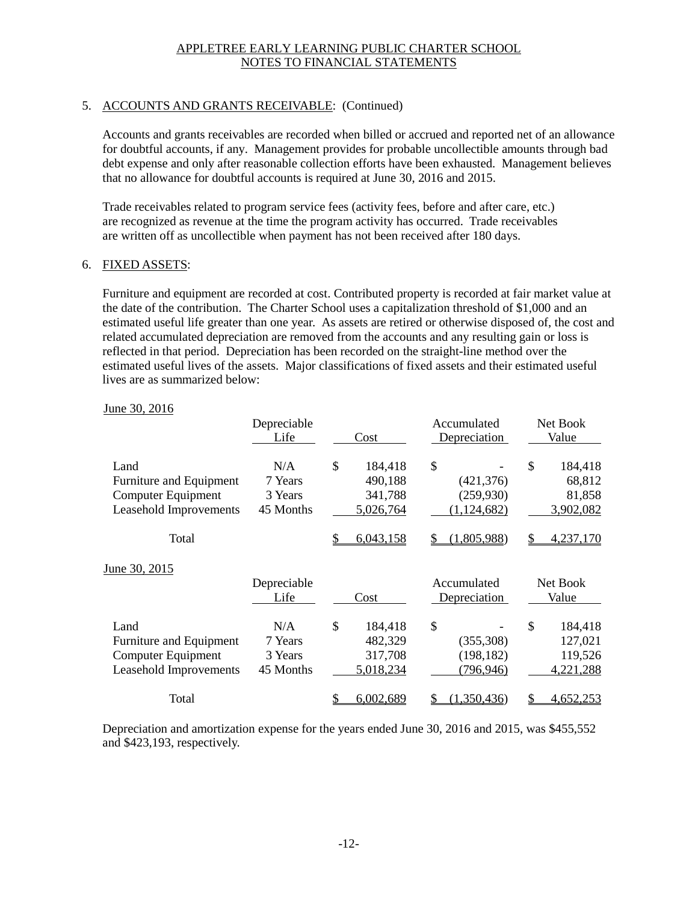# 7. OTHER ASSETS - BONDS ISSUANCE COSTS:

Bond issuance costs consist of acquisition costs related to the bond financing used to fund the Charter School's capital renovations at two campuses. These costs are amortized on a straight-line basis over 17 years (the life of the bonds). Amortization expense was \$19,369 for both the years ended June 30, 2016 and 2015. The unamortized balance of bond issuance costs at June 30, 2016 and 2015, was \$219,517 and \$238,886, respectively, as follows:

|                                                               | June 30, 2016 |                      |    | June 30, 2015       |  |  |
|---------------------------------------------------------------|---------------|----------------------|----|---------------------|--|--|
| <b>Bond Issuance Costs</b><br><b>Accumulated Amortization</b> |               | 329,275<br>(109.758) | S. | 329,275<br>(90.389) |  |  |
| Total                                                         |               | 219.517              |    | 238.886             |  |  |

# 8. BONDS PAYABLE:

On November 1, 2010, the Charter School, through the District of Columbia, issued \$3,535,000 of District of Columbia Revenue Bond Series 2010. The bonds are scheduled to mature on December 1, 2027. The interest rate on the bonds was determined by taking the sum of the original purchaser's five-year cost of funds rate, plus 3.5%, less the tax credit of 5.36%, resulting in a zero (0%) interest rate to the Charter School. Proceeds were used for renovations of two leased school buildings at 138 12th Street NE, Washington, DC (Lincoln Park) and at 2015-17 Savannah Terrace SC, Washington, DC (Douglas Knoll).

The bonds are collateralized by the assets and the per pupil facilities fees at the two campuses. The bonds require principal payments to a sinking fund in the amount of \$18,316 per month commencing on December 1, 2011, and continuing until the maturity date. The bonds have three scheduled call dates of December 1, 2015, 2020, and 2026. The bonds are guaranteed in full by the AppleTree Institute for Education Innovation, a related party.

Principal payments of \$219,792 were made during the fiscal year ended June 30, 2016. The principal balance was \$2,527,620 at June 30, 2016.

Annual maturities of the bonds payable as of June 30 follow:

|            | Principal     |    | Interest | Total |           |  |
|------------|---------------|----|----------|-------|-----------|--|
| 2017       | \$<br>219,792 | \$ |          | \$    | 219,792   |  |
| 2018       | 219,792       |    |          |       | 219,792   |  |
| 2019       | 219,792       |    |          |       | 219,792   |  |
| 2020       | 219,792       |    |          |       | 219,792   |  |
| 2021       | 219,792       |    |          |       | 219,792   |  |
| Thereafter | 1,428,660     |    |          |       | 1,428,660 |  |
| Total      | 2,527,620     |    |          |       |           |  |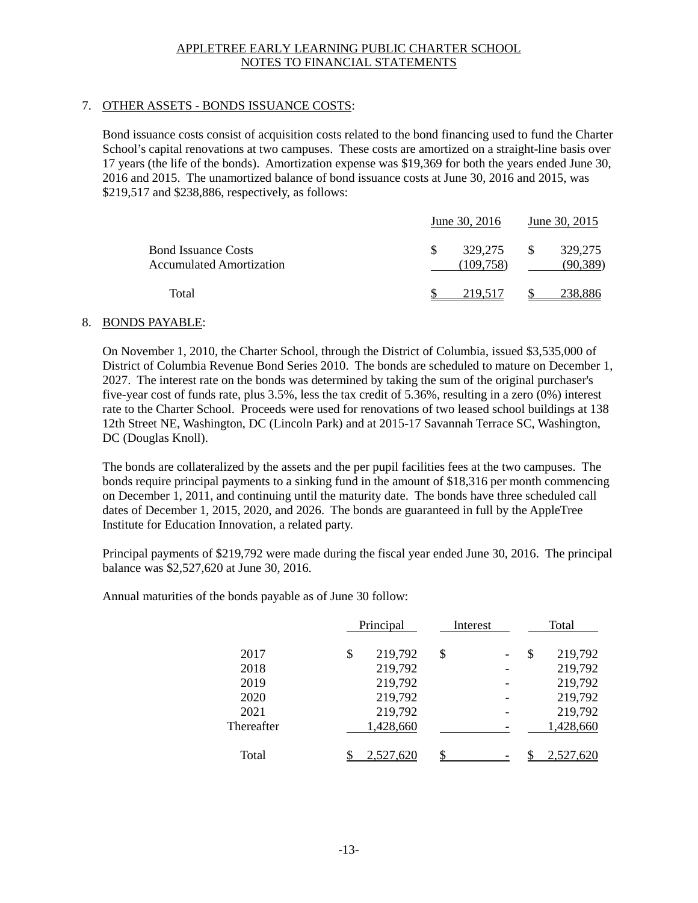# 9. DISTRICT OF COLUMBIA PUBLIC CHARTER SCHOOL BOARD CONTRACT:

The District of Columbia Public Charter School Board (DCPCSB) is responsible for the ongoing oversight of the Charter School's fiscal management and academic acceptability. The contract dated June 8, 2005, provides for a 15-year charter effective the date of first operation. If not renewed, the charter contract will expire on or about January 1, 2020. The charter contract may be renewed for successive 15-year periods if the DCPCSB deems that the Charter School complies with its charter contract and District statutory provisions. In addition, in accordance with the Charter School Act, the DCPCSB is required to review the Charter School's charter every five years. The first such review occurred in the spring of 2010. The DCPCSB may revoke (or not renew) a charter school contract if a school violates applicable law, materially violates the charter contract or fails to meet the student academic achievement expectations set forth in the charter contract. In the past year, the Charter School successfully concluded its ten-year charter review with its authorizer, the DC Public Charter School Board. Management does not anticipate non-renewal or revocation of its charter.

As part of the agreement with the DCPCSB, the Charter School may be charged a public charter school fee, which is not to exceed one percent of the total revenues (less philanthropic and investment revenues) within the annual budget to cover the costs of undertaking the ongoing administrative responsibilities of the Board. For the years ended June 30, 2016 and 2015, the Charter School incurred \$138,112 and \$133,523, respectively, in administrative fees.

The charter contract provides that the Charter School may educate up to a predetermined number of students. However, this enrollment limit may be raised upon notification to and acceptance by the DCPCSB. The Charter School enrollment ceiling for the year ended June 30, 2016, was 673 students. Actual enrollment for the 2015/2016 year was 653 students.

# 10. PER PUPIL FUNDING ALLOCATION:

The Charter School receives local funding from the District of Columbia in the form of per pupil educational allotments and facility allotments. This funding is calculated annually and based on the equivalent number of full-time students. For the year ended June 30, 2016, the per pupil rate ranged from \$12,340 to \$12,719 for the educational allotment and \$3,124 for the facility allotment. For the year ended June 30, 2015, the per pupil rate ranged from \$12,340 to \$12,719 for the educational allotment and \$3,072 for the facility allotment. Additional allotments were given for Special Education needs and At Risk Students. Per-pupil funding for the years ended June 30, 2016 and 2015 was as follows:

|                             |   | June 30, 2016 |   | <u>June 30, 2015</u> |
|-----------------------------|---|---------------|---|----------------------|
| <b>General Education</b>    | S | 8,567,004     | S | 8,351,708            |
| <b>Facilities Allowance</b> |   | 2,039,972     |   | 1,990,656            |
| At Risk Students            |   | 686,070       |   | 616,037              |
| <b>Special Education</b>    |   | 500,188       |   | 388,603              |
| Summer School               |   |               |   | 318,523              |
| Total                       |   | 11.793.234    |   | 11.665.527           |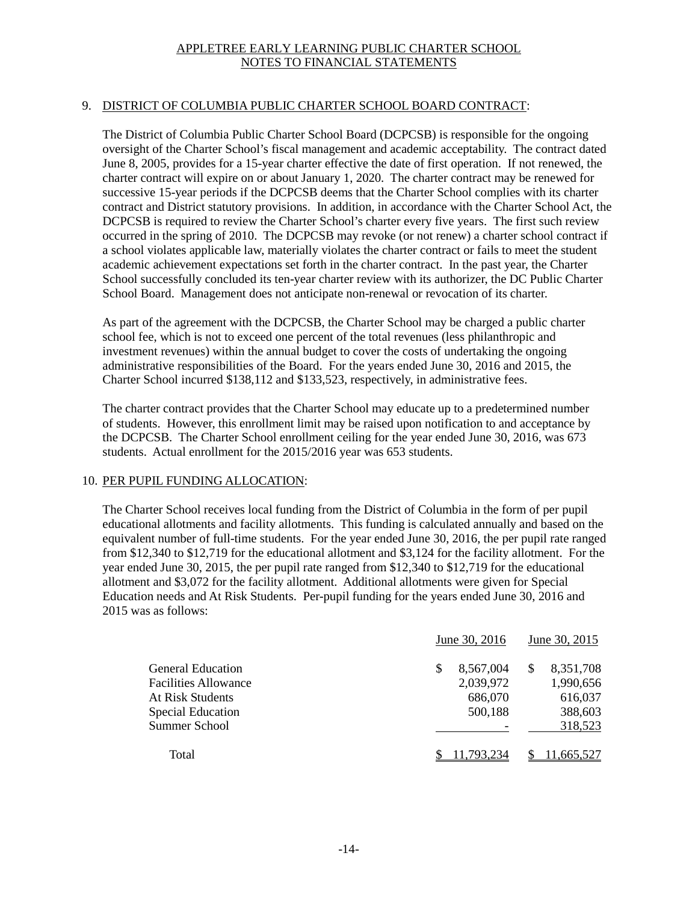# 11. FEDERAL ENTITLEMENTS AND GRANTS:

During the years ended June 30, 2016 and 2015, the Charter School participated in the following federal award programs:

|                                                         |   | June 30, 2016 | June 30, 2015 |         |
|---------------------------------------------------------|---|---------------|---------------|---------|
| National School Lunch and Breakfast Programs            | S | 358,986       | \$            | 297,652 |
| Fresh Fruits and Vegetables Program                     |   | 37,116        |               | 32,038  |
| SOAR - Early Childhood                                  |   | 285,241       |               |         |
| SOAR - Increasing Academic Quality                      |   | 6,000         |               | 196,901 |
| Childcare Subsidy Program                               |   | 144,871       |               |         |
| <b>Medicaid - School Based Services</b>                 |   | 117,455       |               | 19,468  |
| Individuals with Disabilities Education Act (IDEA)      |   | 8,255         |               | 11,473  |
| <b>McKinney Vento</b>                                   |   | 250           |               | 750     |
| <b>Special Populations Grant</b>                        |   |               |               | 97,831  |
| <b>Charter School Planning and Implementation Grant</b> |   |               |               |         |
| (Title V, Part B)                                       |   |               |               | 8,760   |
| Total                                                   |   | 958.174       |               | 664.873 |

Federal formula grants are allocations of money to states or their subdivisions in accordance with distribution formulas prescribed by law or administrative regulation, for activities of a continuing nature not confined to a specific project. The Charter School receives federal formula grants under the provisions of the No Child Left Behind Act (NCLB) of 2001, P.L 107-110. NCLB funds are not intended to replace state or local educational funding, but rather, provide additional support to states, LEAs, and schools for specific purposes. Grants are provided by the U.S. Department of Education and passed through the District of Columbia Office of State Superintendent of Education (OSSE). The National School Lunch Program and School Breakfast Program are part of the child nutrition cluster of programs operated by the U.S. Department of Agriculture

#### 12. LEASE COMMITMENTS:

In June 2015, the Charter School and AppleTree Institute (the Institute), a related party, entered into a master lease agreement, commencing July 1, 2015, and expiring June 30, 2018. This new lease replaces a previous master lease agreement that was in effect during January 2012 thru June 30, 2015. Under the new master lease agreement, the Charter School is required to pay monthly rent based on the facilities allowance received by the Charter School from the District of Columbia, subject to minimum and maximum monthly amounts based on the per pupil facilities allowance and student enrollment. Rent was determined based on a fixed enrollment at a rate of \$2,950 per student, and adjusted as allowed under the lease. In addition, the Charter School incurs the costs of utilities and basic maintenance. For the year ended June 30, 2016, rent expense under this lease was \$849,600. For the year ended June 30, 2015, rent expense was \$988,900.

The Charter School leases certain property from AppleTree Columbia Heights, LLC, an affiliate of the Institute. The terms of this transaction are consistent with the terms of the master lease agreement with the Institute. Rent was based on a rate of \$2,950 per student (\$3,300 per student during the year ended June 30, 2015). For the years ending June 30, 2016 and 2015, rent expense under this lease was \$354,000 and \$396,000, respectively.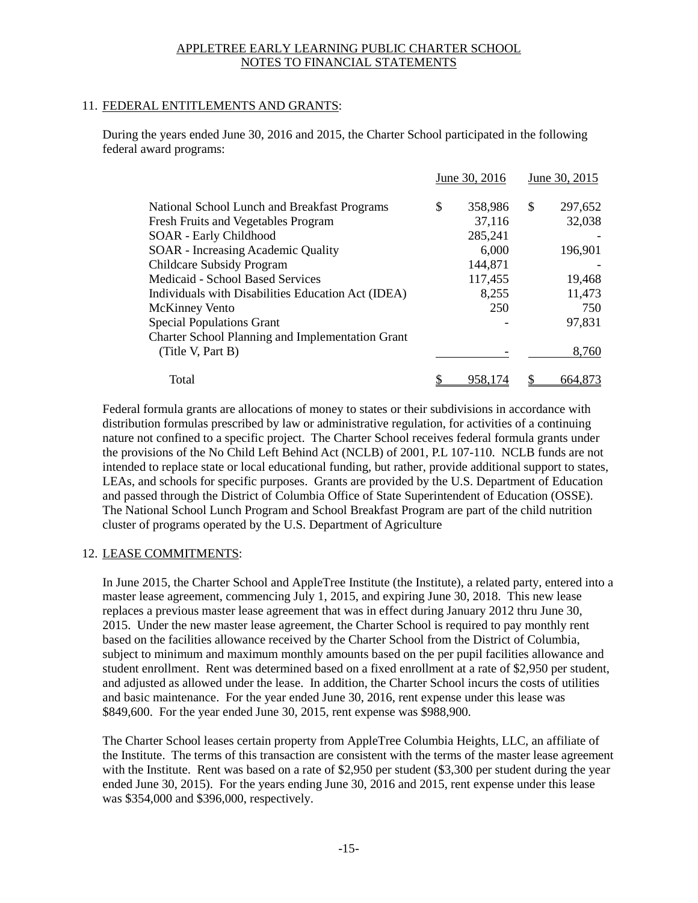# 12. LEASE COMMITMENTS: (Continued)

In July 2011, the Charter School entered into a lease with the Institute for ground rent at its Lincoln Park Campus. The term of the lease is 20 years, with an option to extend the lease for 10 years. On June 13, 2012, both parties agreed to an amendment to the sub-lease covering management expenses for the property, effective January 1, 2012. The monthly lease obligation to be paid by the Charter School is \$806 per month.

In July 2014, The Charter School entered into a license to occupy agreement with the District of Columbia to provide a Public Charter School on the premises of Jefferson Middle School. The terms of this agreement were for a one-year term commencing on July 28, 2014 and expiring July 31, 2015. This agreement was extended for an additional one-year term expiring July 31, 2016. The monthly required payment at June 30, 2015, was \$1,625. During the years ended June 30, 2016 and 2015, the Charter School had incurred \$19,495 and \$18,087, respectively in licensing fees.

In July 2014, the Charter School entered into a sub-lease with the Institute for office space at 415 Michigan Ave NE, Washington, DC. The lease commences on July 1, 2014 and expires March 31, 2017. The monthly lease payment for the fiscal year ending June 30, 2016 and 2015 was \$5,245 and \$5,154, respectively. Future minimum lease payments are as follows:

| Year Ended June 30, |                 |
|---------------------|-----------------|
| 2017                | \$<br>1,262,102 |
| 2018                | 1,213,272       |
| 2019                | 9,672           |
| 2020                | 9,672           |
| 2021                | 9,672           |
|                     |                 |
| Total               |                 |

Total rent expense and licensing fees for the years ended June 30, 2016 and 2015, are as follows:

| Landlord                          | Facility                  | June 30, 2016 | June 30, 2015  |
|-----------------------------------|---------------------------|---------------|----------------|
| AppleTree Institute for Education |                           |               |                |
| Innovation, Inc.                  | Oklahoma Avenue           | \$<br>472,000 | \$<br>531,300  |
| AppleTree Institute for Education |                           |               |                |
| Innovation, Inc.                  | Parkland                  | 259,600       | 293,700        |
| AppleTree Institute for Education |                           |               |                |
| Innovation, Inc.                  | Lofts/Heights of Columbia | 118,000       | 141,900        |
| AppleTree Institute for Education |                           |               |                |
| Innovation, Inc.                  | Riverside Baptist Church  |               | 22,000         |
| AppleTree Institute for Education |                           |               |                |
| Innovation, Inc.                  | Douglas Knoll             |               | 12,903         |
| AppleTree Institute for Education |                           |               |                |
| Innovation, Inc.                  | Lincoln Park              | 9,677         | 9,677          |
| AppleTree Columbia Heights, LLC   | Columbia Heights          | 354,000       | 396,000        |
| Theological College, Inc.         | Michigan Avenue           | 65,006        | 63,765         |
| District of Columbia              | Jefferson Middle School   | 19,495        | 18,087         |
|                                   | Total                     | 297.778       | 1,489,332<br>S |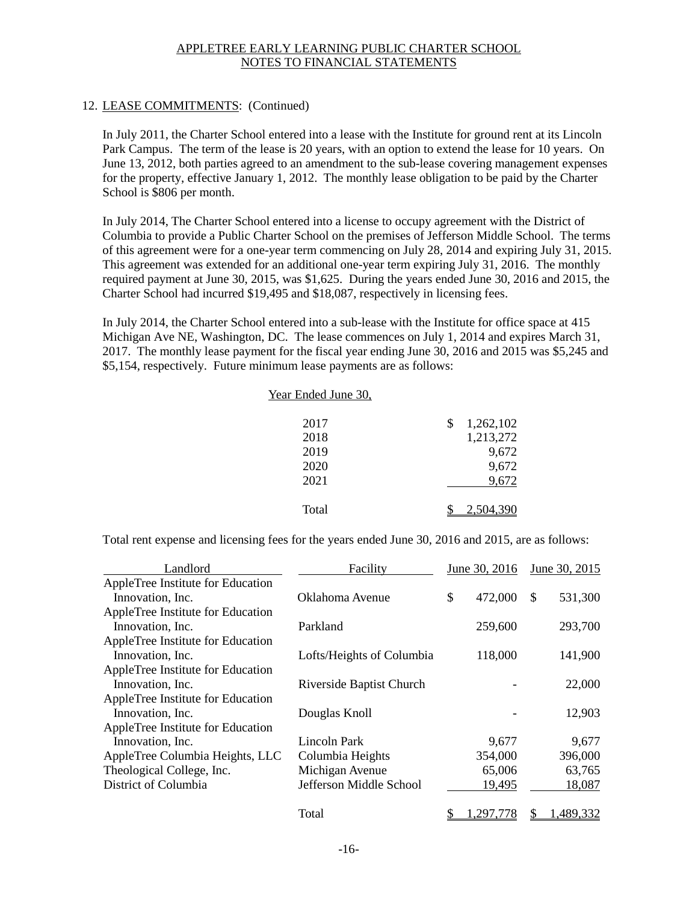# 12. LEASE COMMITMENTS: (Continued)

# Equipment:

The Charter School maintains operating leases for copier equipment. Lease terms are for 36 months, with monthly lease amounts ranging from \$143 to \$195. Equipment rental expense totaled \$3,055 and \$3,534 for the years ending June 30, 2016 and 2015, respectively. Future minimum payments due under such leases are as follows:

| Year Ended June 30, |   |       |
|---------------------|---|-------|
| 2017<br>2018        | S | 1,716 |
| Total               |   |       |

#### 13. RELATED PARTY TRANSACTIONS:

The Charter School was designed by AppleTree Institute for Education Innovation, Inc. (the Institute), a not for profit organization, whose mission is to increase the number of effective schools through innovation, to provide accelerated early language and literacy programs to underserved preschoolers in Washington, DC and to raise the trajectory of their future learning success. The Institute supports the Charter School as a strategic partner, and commits to fund any operating shortfalls of the Charter School. The Charter School leases some of its facilities from the Institute (Note 12).

Effective July 1, 2015, the Charter School and the Institute entered into a services agreement outlining the division of specific administrative and operating costs. During the year ended June 30, 2016, the Institute billed \$481,035 of expenses for shared payroll and administrative costs to the Charter School. The Institute incurred \$263,531 of expenses for shared payroll and administrative costs provided by the Charter School. In addition, the Charter School billed the Institute a total of \$104,637 for operating expenses shared between the Charter School and the Institute. As of June 30, 2016 and 2015, the Charter School has a net amount due to the Institute of \$95,412 and \$177,675, respectively.

The bonds issued by the Charter School are guaranteed in full by the Institute (Note 8).

The Charter School and the Institute share common board members. Two of the members appointed to serve on the board are parents of students currently attending the Charter School.

#### 14. CONTINGENCIES:

The Charter School was granted its charter by the District of Columbia Public Charter School Board, authorized under the District of Columbia School Reform Act of 1995, Public Law 104-134, as amended. The Charter School has no reason to believe that this relationship will be discontinued in the foreseeable future. However, any interruption of this relationship (i.e. the failure to continue the charter authorization or withholding funds) could adversely affect the School's ability to finance ongoing operations.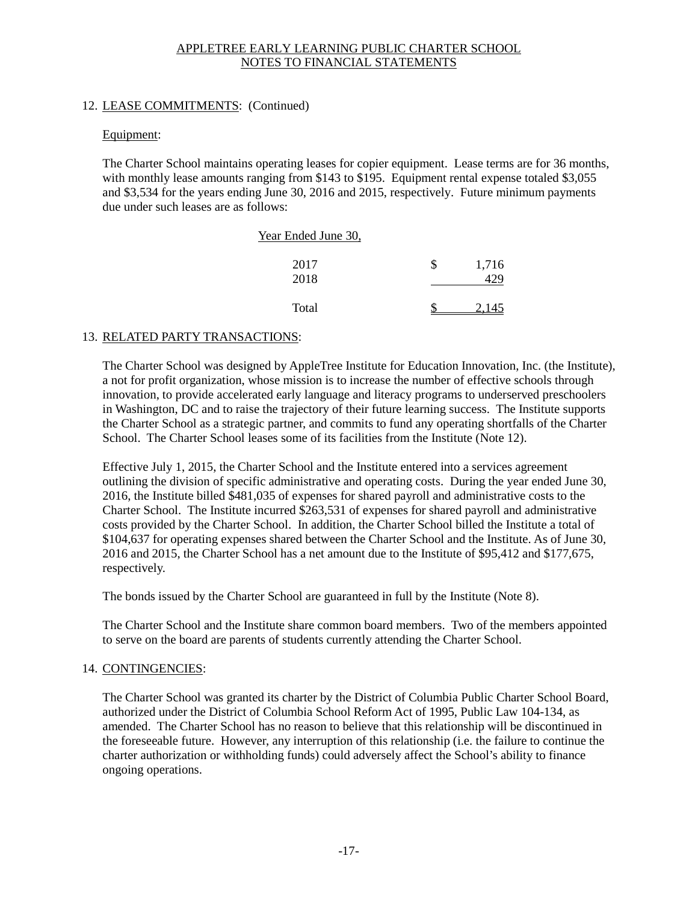# 14. CONTINGENCIES: (Continued)

The Charter School depends on per pupil allocations, grants, and contributions for a significant portion of its revenues. The ability of the sources of revenues to continue giving amounts comparable with prior years may be dependent upon future economic conditions and continued deductibility for income tax purposes of grants and contributions to the Charter School. While the Charter School's board of trustees and management believes the Charter School has the resources to continue its programs, its ability to do so, and the extent to which it continues, may be dependent on the above factors.

The Charter School receives funding from various federal and state grant reimbursement programs, which are governed by various rules and regulations of the respective grantor agencies. To the extent that the Charter School has not complied with the rules and regulations governing the grants, refunds of any money received may be required. The Charter School believes that it is in compliance with all applicable laws and regulations and is not aware of any pending or threatened investigations involving allegations of potential wrongdoing. Therefore, no provision has been recorded in the accompanying financial statements for such contingencies.

The viability of public charter schools and funding for these schools is dependent upon the consensus of current and future administration of the District of Columbia Government. Any future change in dynamics could adversely affect the operations of public charter schools.

#### 15. ADVERTISING:

Advertising was conducted for the purpose of promoting open enrollment and student recruiting to the school and to provide outreach to the community. Advertising costs are expensed when incurred. Direct advertising expenses were \$50,767 and \$31,622 for the years ended June 30, 2016 and 2015, respectively.

#### 16. RETIREMENT PLAN:

The Charter School provides pension benefits for its employees through a qualified defined contribution 403(b) retirement plan administered by a third party. The Charter School contributes, at its discretion, an amount equal to 5% of eligible compensation for employees with more than two years of service. Employer contributions for the years ended June 30, 2016 and 2015 totaled \$132,614 and \$138,308, respectively.

#### 17. SUBSEQUENT EVENTS:

#### Financial Statement Preparation:

In preparing these financial statements, management has evaluated events and transactions for potential recognition or disclosure through October 14, 2016, the date the financial statements were available to be issued, and has determined that no adjustments are necessary to the amounts reported in the accompanying financial statements.

#### Enrollment:

Enrollment for the 2016/2017 school year is approximately six hundred thirty (630) students, as compared to six hundred fifty-three (653) students during the 2015/2016 school year.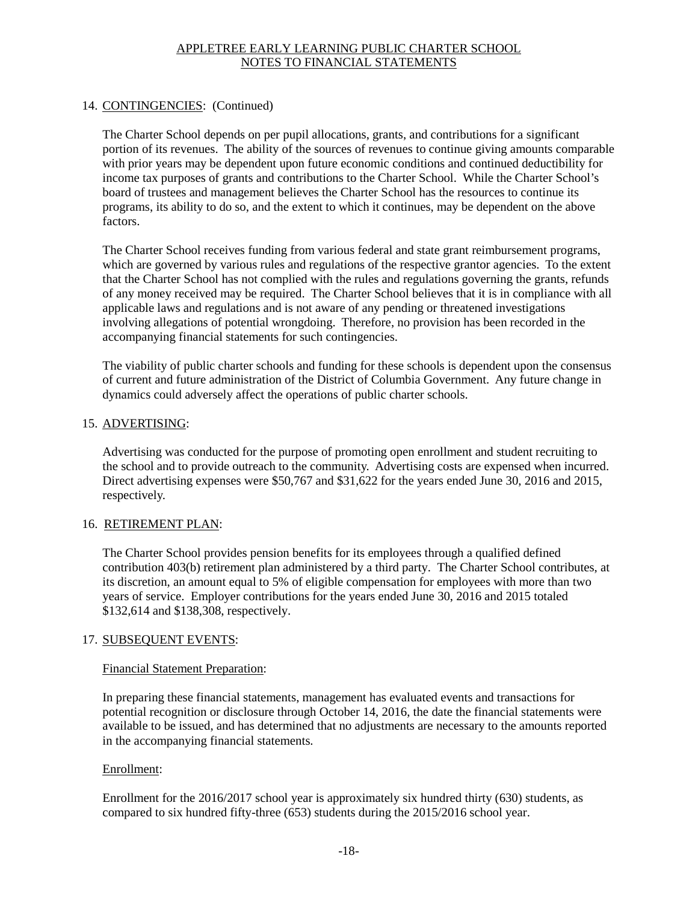#### APPLETREE EARLY LEARNING PUBLIC CHARTER SCHOOL CONSOLIDATED SCHEDULES OF FUNCTIONAL EXPENSES FOR THE YEARS ENDED JUNE 30, 2016 AND 2015

|                                              |                            | June 30, 2016             |                               |               | June 30, 2015             |                         |                               |             |  |  |  |
|----------------------------------------------|----------------------------|---------------------------|-------------------------------|---------------|---------------------------|-------------------------|-------------------------------|-------------|--|--|--|
|                                              | Total                      | Educational<br>Services   | General and<br>Administrative | Fundraising   | Total                     | Educational<br>Services | General and<br>Administrative | Fundraising |  |  |  |
| Personnel, Salaries and Benefits:            |                            |                           |                               |               |                           |                         |                               |             |  |  |  |
| Leadership Salaries                          | 988,576<br><sup>\$</sup>   | $\mathbb{S}$<br>988,576   | $\mathcal{S}$                 | $\mathcal{S}$ | $\mathbb{S}$<br>656,313   | $\mathbb{S}$<br>656,313 | $\mathcal{S}$                 | \$          |  |  |  |
| <b>Teaching Staff Salaries</b>               | 4,608,330                  | 4,608,330                 |                               |               | 4,345,439                 | 4,345,439               |                               |             |  |  |  |
| <b>Student and Family Support Salaries</b>   | 539,238                    | 539,238                   |                               |               | 690,894                   | 690,894                 |                               |             |  |  |  |
| <b>Business and Operations Salaries</b>      | 342,819                    |                           | 342,819                       |               | 93,300                    |                         | 93,300                        |             |  |  |  |
| Shared Administrative Support                | 303,148                    |                           | 303,148                       |               | 230,857                   | $\overline{a}$          | 230,857                       |             |  |  |  |
| Leased Employees, Net                        | 217,504                    | 204,759                   | 12,745                        |               | 315,211                   | 167,821                 | 147,390                       |             |  |  |  |
| <b>Contracted Services</b>                   | 54,995                     | 53,794                    | 1,201                         |               | 518,736                   | 518,736                 |                               |             |  |  |  |
| <b>Employee Benefits</b>                     | 966,137                    | 874,117                   | 92,020                        |               | 910,779                   | 792,307                 | 118,472                       |             |  |  |  |
| <b>Payroll Taxes</b>                         | 596,855                    | 540,007                   | 56,848                        |               | 524,578                   | 462,825                 | 61,753                        |             |  |  |  |
| <b>Staff Development</b>                     | 244,017                    | 244,017                   |                               |               | 53,887                    | 53,887                  |                               |             |  |  |  |
| Other Staff-Related Expense                  | 116,822                    | 85,644                    | 31,178                        |               | 13,367                    | 357                     | 13,010                        |             |  |  |  |
| Total Personnel, Salaries and Benefits       | 8,978,441                  | \$8,138,482               | 839,959                       |               | 8,353,361<br>\$           | \$ 7,688,579            | 664,782                       |             |  |  |  |
| <b>Direct Student Costs:</b>                 |                            |                           |                               |               |                           |                         |                               |             |  |  |  |
| <b>Textbooks and Assessment Materials</b>    | $\mathbb{S}$<br>23,717     | $\mathbb{S}$<br>23,717    | $\mathcal{S}$                 | $\mathcal{S}$ | $\mathbb{S}$<br>88,995    | $\mathbb{S}$<br>88,995  | \$                            | \$          |  |  |  |
| Food Service                                 | 516,145                    | 516,145                   |                               |               | 490,075                   | 490,075                 |                               |             |  |  |  |
| <b>Student Supplies and Materials</b>        | 71,618                     | 71,618                    |                               |               | 74,055                    | 74,055                  |                               |             |  |  |  |
| <b>Contracted Instruction Fees</b>           | 92,035                     | 92,035                    |                               |               |                           |                         |                               |             |  |  |  |
| <b>Special Education Contracted Services</b> | 79,709                     | 79,709                    |                               |               | 74,118                    | 74,118                  |                               |             |  |  |  |
| Classroom Furnishings and Software           |                            |                           |                               |               | 29,884                    | 29,884                  |                               |             |  |  |  |
| <b>Field Trips</b>                           | 76,319                     | 76,319                    |                               |               | 52,870                    | 52,870                  |                               |             |  |  |  |
| Other Student Costs                          | 94,777                     | 94,777                    |                               |               | 75,651                    | 48,271                  | 27,380                        |             |  |  |  |
| <b>Total Direct Student Costs</b>            | 954,320                    | 954,320                   |                               |               | 885,648                   | 858,268                 | 27,380                        |             |  |  |  |
| Occupancy Costs:                             |                            |                           |                               |               |                           |                         |                               |             |  |  |  |
| Rent                                         | 1,300,378<br><sup>\$</sup> | 1,257,532<br>$\mathbb{S}$ | $\mathbb{S}$<br>42,846        | \$            | 1,489,332<br>$\mathbb{S}$ | 1,424,935<br>\$         | 64,397<br>$\mathbb{S}$        | \$          |  |  |  |
| <b>Real Estate Taxes</b>                     | 11,117                     | 11,117                    |                               |               |                           |                         |                               |             |  |  |  |
| <b>Contracted Building Services</b>          | 164,006                    | 164,006                   |                               |               | 160,037                   | 160,037                 |                               |             |  |  |  |
| <b>Utilities</b>                             | 161,644                    | 161,644                   |                               |               | 52,542                    | 52,542                  |                               |             |  |  |  |
| Maintenance and Improvements                 | 120,314                    | 88,533                    | 31,781                        |               | 64,096                    | 55,091                  | 9,005                         |             |  |  |  |
| Depreciation                                 | 327,736                    | 327,736                   |                               |               | 303,914                   | 303,914                 |                               |             |  |  |  |
| <b>Total Occupancy Costs</b>                 | 2,085,195                  | \$2,010,568               | 74,627                        |               | 2,069,921<br>\$           | 1,996,519<br>\$         | 73,402                        |             |  |  |  |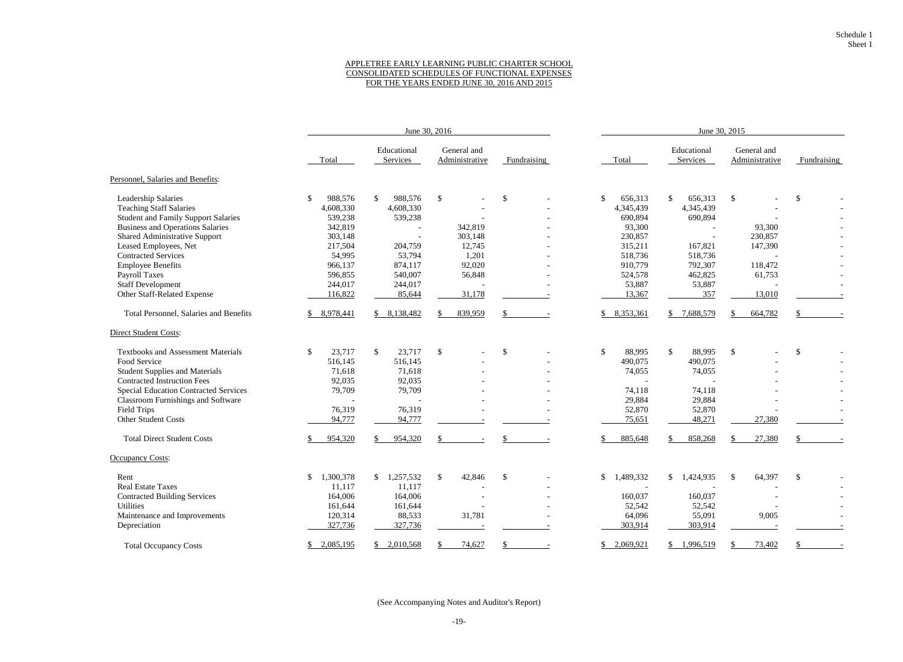#### APPLETREE EARLY LEARNING PUBLIC CHARTER SCHOOL CONSOLIDATED SCHEDULES OF FUNCTIONAL EXPENSES FOR THE YEARS ENDED JUNE 30, 2016 AND 2015

|                                        |                         |                         | June 30, 2016                 | June 30, 2015 |                        |                                                                     |               |  |  |  |
|----------------------------------------|-------------------------|-------------------------|-------------------------------|---------------|------------------------|---------------------------------------------------------------------|---------------|--|--|--|
|                                        | Total                   | Educational<br>Services | General and<br>Administrative | Fundraising   | Total                  | Educational<br>General and<br>Administrative<br>Services            | Fundraising   |  |  |  |
| Office Expenses:                       |                         |                         |                               |               |                        |                                                                     |               |  |  |  |
| <b>Equipment Maintenance</b>           | $\mathbb{S}$<br>48,535  | $\mathbb{S}$<br>44,345  | $\mathbb{S}$<br>4,190         | $\sqrt$       | $\frac{1}{2}$<br>7,386 | $\mathbb{S}$<br>6,720<br>$\mathbb{S}$<br>666                        | $\mathbb{S}$  |  |  |  |
| Office Supplies                        | 138,422                 | 96,245                  | 42,177                        |               | 199,851                | 153,991<br>45,860                                                   |               |  |  |  |
| Postage and Shipping                   | 348                     | 195                     | 153                           |               | 734                    | 713<br>21                                                           |               |  |  |  |
| <b>Professional Services</b>           | 215,422                 |                         | 215,422                       |               | 239,710                | 38,740<br>200,970                                                   |               |  |  |  |
| Office Printing and Copying            | 5,072                   |                         | 5,072                         |               | 50,119                 | 3,623<br>46,496                                                     |               |  |  |  |
| Telecommunications                     | 39,044                  | 16,565                  | 22,479                        |               | 36,788                 | 20,186<br>16,602                                                    |               |  |  |  |
| <b>Amortization Bond Issuance Cost</b> | 19,369                  | 19,369                  |                               |               | 19,369                 | 19,369                                                              |               |  |  |  |
| <b>Bank Service Charges</b>            | 7,778                   |                         | 7,778                         |               | 13,617                 | 13,617                                                              |               |  |  |  |
| <b>Total Office Expenses</b>           | 473,990                 | 176,719                 | 297,271                       |               | 567,574                | 301,420<br>266,154<br>\$.<br>S.                                     |               |  |  |  |
| <b>General Expenses:</b>               |                         |                         |                               |               |                        |                                                                     |               |  |  |  |
| <b>Authorizer Fees</b>                 | $\mathbb{S}$<br>138,112 | $\mathbb{S}$<br>$\sim$  | $\mathcal{S}$<br>138,112      | $\mathbb{S}$  | \$<br>133,523          | $\mathbb{S}$<br>$\mathbb{S}$<br>133,523<br>$\overline{\phantom{0}}$ | $\mathcal{L}$ |  |  |  |
| Insurance                              | 47,637                  |                         | 47,637                        |               | 43,130                 | 5,511<br>37,619                                                     |               |  |  |  |
| Depreciation                           | 127,816                 | 127,816                 |                               |               | 119,279                | 119,279                                                             |               |  |  |  |
| Other General Expenses                 | 29,983                  | 20,085                  | 9,898                         |               | 57,110                 | 35,225<br>21,885                                                    |               |  |  |  |
| <b>Total General Expenses</b>          | 343,548                 | 147,901<br>S.           | 195,647                       |               | 353,042                | 40,736<br>312,306<br>\$.                                            |               |  |  |  |
| <b>Total Functional Expenses</b>       | \$12,835,494            | \$11,427,990            | ,407,504                      |               | \$12,229,546           | \$10,850,256<br>1,379,290<br>S.                                     |               |  |  |  |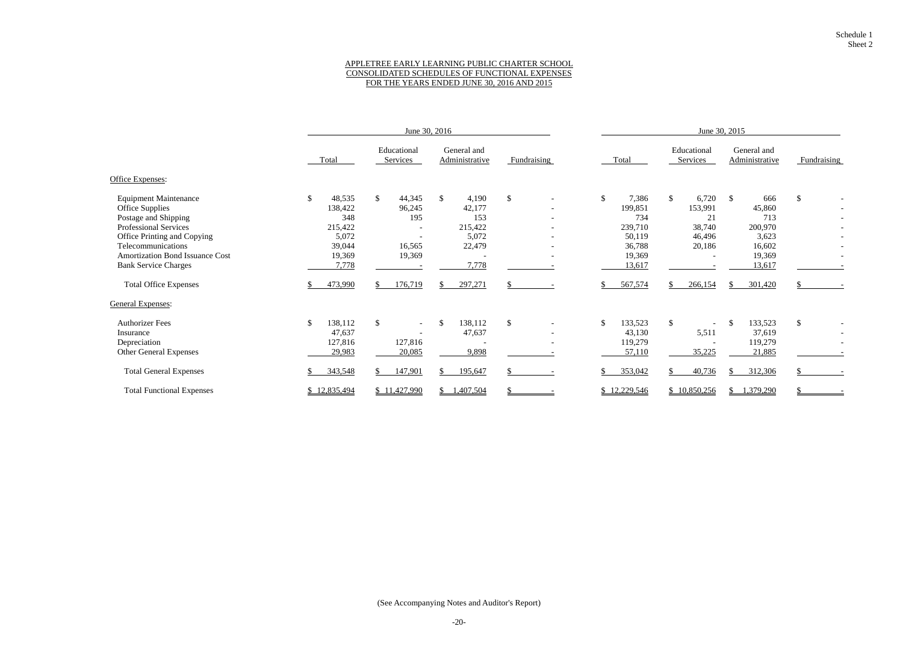### APPLETREE EARLY LEARNING PUBLIC CHARTER SCHOOL COMPARATIVE SCHEDULES OF AVERAGE COST PER STUDENT FOR THE YEARS ENDED JUNE 30, 2016 AND 2015

June 30, 2016

|                            |       | <b>Total Cost</b> | <b>Average Cost</b><br>Per Student |  |  |  |  |
|----------------------------|-------|-------------------|------------------------------------|--|--|--|--|
| Instructional              |       | 9,417,422<br>S    | 14,422<br>S                        |  |  |  |  |
| <b>Occupancy Cost</b>      |       | 2,085,195         | 3,193                              |  |  |  |  |
| General and Administrative |       | 1,332,877         | 2,041                              |  |  |  |  |
| Fundraising                |       |                   |                                    |  |  |  |  |
|                            | Total | 12,835,494        | 19,656                             |  |  |  |  |

The above is the average per student cost for the year ended June 30, 2016, and is based on a full time equivalent (FTE) enrollment of 653 students.

#### June 30, 2015

|                            |       | <b>Total Cost</b> | <b>Average Cost</b><br>Per Student |
|----------------------------|-------|-------------------|------------------------------------|
| Instructional              |       | \$<br>8,853,737   | \$<br>13,663                       |
| <b>Occupancy Cost</b>      |       | 2,069,921         | 3,194                              |
| General and Administrative |       | 1,305,888         | 2,015                              |
| Fundraising                |       |                   |                                    |
|                            | Total | 12.229.546        | 18,872                             |

The above is the average per student cost for the year ended June 30, 2015, and is based on a full time equivalent (FTE) enrollment of 648 students.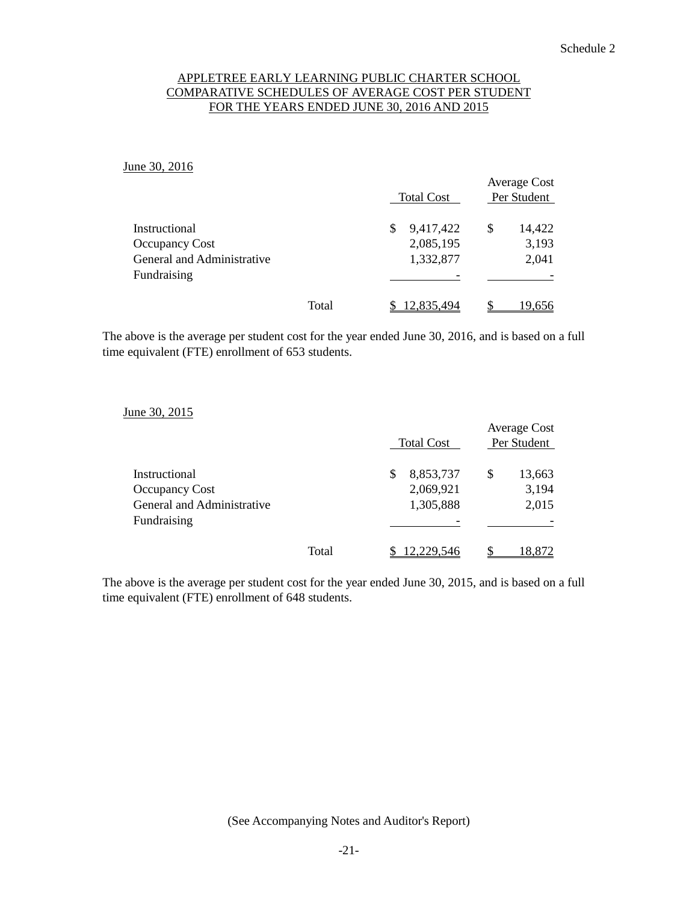#### APPLETREE EARLY LEARNING PUBLIC CHARTER SCHOOL SCHEDULE OF EXPENDITURES OF FEDERAL AWARDS FOR THE YEAR ENDED JUNE 30, 2016

|                                                                               | Federal               | Pass-Through       |    | Program            |                          |               | Grant                     | Refundable           |                          |               | <b>Current Year Activity</b> |              |                               |                           | Grant                      | Refundable            |  |
|-------------------------------------------------------------------------------|-----------------------|--------------------|----|--------------------|--------------------------|---------------|---------------------------|----------------------|--------------------------|---------------|------------------------------|--------------|-------------------------------|---------------------------|----------------------------|-----------------------|--|
| Federal Grantor/Pass Through Grantor Program Title                            | <b>CFDA</b><br>Number | Grantors<br>Number |    | or Award<br>Amount | Period of Award          |               | Receivable<br>at $7/1/15$ | Advance at<br>7/1/15 |                          |               | <b>Receipts</b>              |              | Disbursements<br>Expenditures |                           | Receivable<br>at $6/30/16$ | Advance at<br>6/30/16 |  |
| U.S. Department of Education:                                                 |                       |                    |    |                    |                          |               |                           |                      |                          |               |                              |              |                               |                           |                            |                       |  |
| Passed Through the District of Columbia:                                      |                       |                    |    |                    |                          |               |                           |                      |                          |               |                              |              |                               |                           |                            |                       |  |
| SOAR, Increasing Academic Quality                                             | 84.370A               | U370C130001        | S. | 221,530            | $02/21/14$ to $02/20/16$ | <sup>\$</sup> | 2,136                     | \$                   | $\overline{\phantom{a}}$ | \$            | 8,136                        | $\mathbb{S}$ | 6,000                         | $\boldsymbol{\mathsf{S}}$ |                            | $\mathcal{S}$         |  |
| SOAR, Early Childhood<br>Special Education - IDEA 611, Grants to              | 84.370A               | U370C140001        | \$ | 285,241            | 07/02/15 to 07/10/16     |               |                           |                      |                          |               | 171,597                      |              | 285,241                       |                           | 113,644                    |                       |  |
| <b>Education Agencies</b>                                                     | 84.027A               | 52027A             | \$ | 6,523              | 07/01/15 to 09/30/16     |               |                           |                      |                          |               | 6,523                        |              | 6,523                         |                           |                            |                       |  |
| Special Education - IDEA 619, Preschool Grants<br>to Local Education Agencies | 84.173A               | 52173A             | \$ | 1,732              | 07/01/15 to 09/30/16     |               |                           |                      |                          |               | 1,732                        |              | 1,732                         |                           |                            |                       |  |
| McKinney-Vento Education for Homeless Children                                |                       |                    |    |                    |                          |               |                           |                      |                          |               |                              |              |                               |                           |                            |                       |  |
| And Youth Program                                                             | 84.196A               | N/A                | \$ | 1,000              | 07/01/14 to 09/30/15     |               | 750                       |                      |                          |               | 1,000                        |              | 250                           |                           |                            |                       |  |
| Total U.S. Department of Education                                            |                       |                    |    |                    |                          |               | 2,886                     |                      |                          | \$            | 188,988                      |              | 299,746                       | \$                        | 113,644                    |                       |  |
| <b>U.S. Department of Agriculture:</b>                                        |                       |                    |    |                    |                          |               |                           |                      |                          |               |                              |              |                               |                           |                            |                       |  |
| Passed Through the District of Columbia:                                      |                       |                    |    |                    |                          |               |                           |                      |                          |               |                              |              |                               |                           |                            |                       |  |
| Fresh Fruits and Vegetables                                                   | 10.582                | N/A                |    | N/A                | $07/01/15$ to $06/30/16$ | -\$           |                           | $\frac{1}{2}$        | $\overline{\phantom{a}}$ | \$            | 30,455                       | -S           | 37,116                        | \$.                       | 6,661                      | $\mathcal{S}$         |  |
| Fresh Fruits and Vegetables                                                   | 10.582                | N/A                |    | N/A                | 07/01/14 to 06/30/15     |               | 7,291                     |                      |                          |               | 7,291                        |              |                               |                           |                            |                       |  |
| National School Lunch Program                                                 | 10.555                | N/A                |    | N/A                | 07/01/15 to 06/30/16     |               |                           |                      |                          |               | 237,463                      |              | 277,299                       |                           | 39,836                     |                       |  |
| National School Lunch Program                                                 | 10.555                | N/A                |    | N/A                | 07/01/14 to 06/30/15     |               | 15,501                    |                      | $\sim$                   |               | 15,501                       |              |                               |                           |                            |                       |  |
| School Breakfast Program                                                      | 10.553                | N/A                |    | N/A                | 07/01/15 to 06/30/16     |               |                           |                      |                          |               | 69,210                       |              | 81,687                        |                           | 12,477                     |                       |  |
| School Breakfast Program                                                      | 10.553                | N/A                |    | N/A                | 07/01/14 to 06/30/15     |               | 4,494                     |                      |                          |               | 4,494                        |              |                               |                           |                            |                       |  |
| Total U.S. Department of Agriculture                                          |                       |                    |    |                    |                          |               | 27,286                    |                      |                          |               | 364,414                      |              | 396,102                       |                           | 58,974                     |                       |  |
| U.S. Department of Health and Human Services:                                 |                       |                    |    |                    |                          |               |                           |                      |                          |               |                              |              |                               |                           |                            |                       |  |
| Passed Through the District of Columbia:                                      |                       |                    |    |                    |                          |               |                           |                      |                          |               |                              |              |                               |                           |                            |                       |  |
| Child Care and Development Fund                                               | 93.575                | N/A                |    | N/A                | 07/01/15 to 06/30/16     | -S            |                           | \$                   |                          | \$            | 33,746                       | \$           | 36,832                        | $\mathcal{S}$             | 3,086                      | -\$                   |  |
| Temporary Assistance for Needy Families                                       | 93.558                | $\rm N/A$          |    | N/A                | 07/01/15 to 06/30/16     |               |                           |                      |                          |               | 98,987                       |              | 108,039                       |                           | 9,052                      |                       |  |
| Medicaid - School Based Services                                              | 93.xxx                | $\rm N/A$          |    | N/A                | 07/01/15 to 06/30/16     |               | 4,307                     |                      |                          |               | 15,318                       |              | 117,455                       |                           | 106,444                    |                       |  |
| Total U.S. Department of Health and Human Services                            |                       |                    |    |                    |                          |               | 4,307                     |                      |                          | $\frac{1}{2}$ | 148,051                      | $\mathbb{S}$ | 262,326                       |                           | \$118,582                  |                       |  |
| <b>Total Federal Awards</b>                                                   |                       |                    |    |                    |                          |               | 34,479                    |                      |                          | $\mathbb{S}$  | 701,453                      | $\mathbb{S}$ | 958,174                       | S.                        | 291,200                    |                       |  |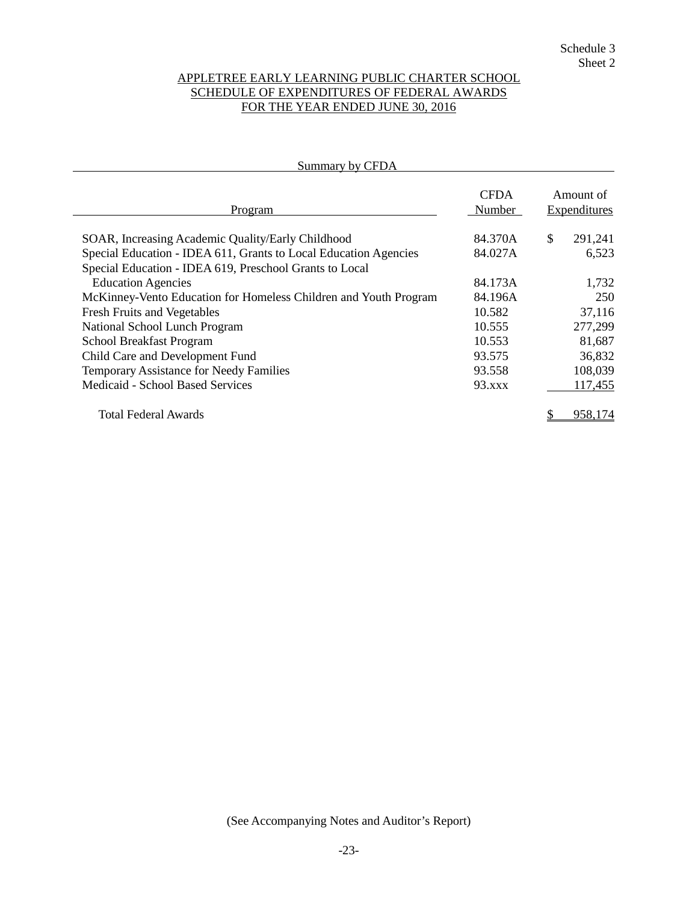# APPLETREE EARLY LEARNING PUBLIC CHARTER SCHOOL SCHEDULE OF EXPENDITURES OF FEDERAL AWARDS FOR THE YEAR ENDED JUNE 30, 2016

| Summary by CFDA                                                  |                       |                                  |  |  |
|------------------------------------------------------------------|-----------------------|----------------------------------|--|--|
| Program                                                          | <b>CFDA</b><br>Number | Amount of<br><b>Expenditures</b> |  |  |
| SOAR, Increasing Academic Quality/Early Childhood                | 84.370A               | \$<br>291,241                    |  |  |
| Special Education - IDEA 611, Grants to Local Education Agencies | 84.027A               | 6,523                            |  |  |
| Special Education - IDEA 619, Preschool Grants to Local          |                       |                                  |  |  |
| <b>Education Agencies</b>                                        | 84.173A               | 1,732                            |  |  |
| McKinney-Vento Education for Homeless Children and Youth Program | 84.196A               | 250                              |  |  |
| Fresh Fruits and Vegetables                                      | 10.582                | 37,116                           |  |  |
| National School Lunch Program                                    | 10.555                | 277,299                          |  |  |
| School Breakfast Program                                         | 10.553                | 81,687                           |  |  |
| Child Care and Development Fund                                  | 93.575                | 36,832                           |  |  |
| Temporary Assistance for Needy Families                          | 93.558                | 108,039                          |  |  |
| Medicaid - School Based Services                                 | 93.xxx                | 117,455                          |  |  |
| <b>Total Federal Awards</b>                                      |                       | 958,174                          |  |  |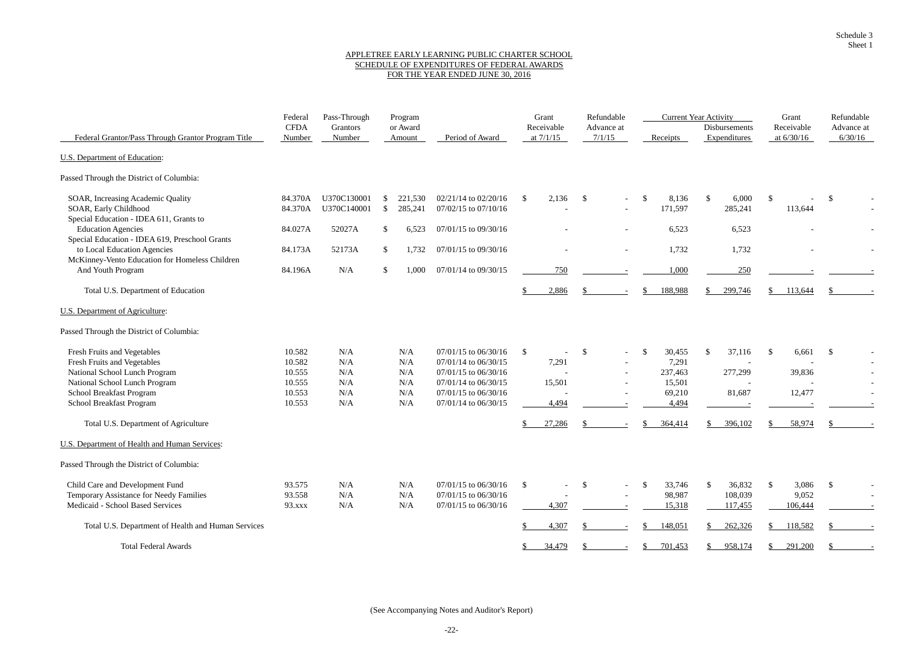### APPLETREE EARLY LEARNING PUBLIC CHARTER SCHOOL NOTES TO SCHEDULE OF EXPENDITURES OF FEDERAL AWARDS FOR THE YEAR ENDED JUNE 30, 2016

### Note 1 - Basis of Presentation:

The accompanying schedule of expenditures of federal awards (the Schedule) includes the federal award activity of the Charter School under programs of the federal government for the year ended June 30, 2016. The information in this Schedule is presented in accordance with the requirements of Title 2 U.S. Code of Federal Regulations Part 200, *Uniform Administrative Requirements, Cost Principles, and Audit Requirements for Federal Awards* (Uniform Guidance). Because the Schedule presents only a selected portion of the operations of the Charter School, it is not intended to and does not present the financial position, changes in net assets, or cash flows of the Charter School.

#### Note 2 - Summary of Significant Accounting Policies:

Expenditures reported on the Schedule are reported on the accrual basis of accounting. Such expenditures are recognized following the cost principles contained in the Uniform Guidance, wherein certain types of expenditures are not allowable or are limited as to reimbursement.

The Charter School has elected not to use the 10 percent de minimis indirect cost rate as allowed under the Uniform Guidance.

#### Note 3 - Major Program Selection:

The major Federal Award Programs selected for testing are as follows:

#### U.S. Department of Agriculture

- School Breakfast and National School Lunch Program

The requirements of the Uniform Guidance dictate all major programs as determined by the auditor on a risk-based approach and/or at least 40% (20% for low risk auditees) of all federal awards be subject to specific control and compliance testing. For the AppleTree Early Learning Public Charter School, the programs subject to these requirements are as listed above. The total expenditures of these programs represent 37.50% of the total federal expenditures.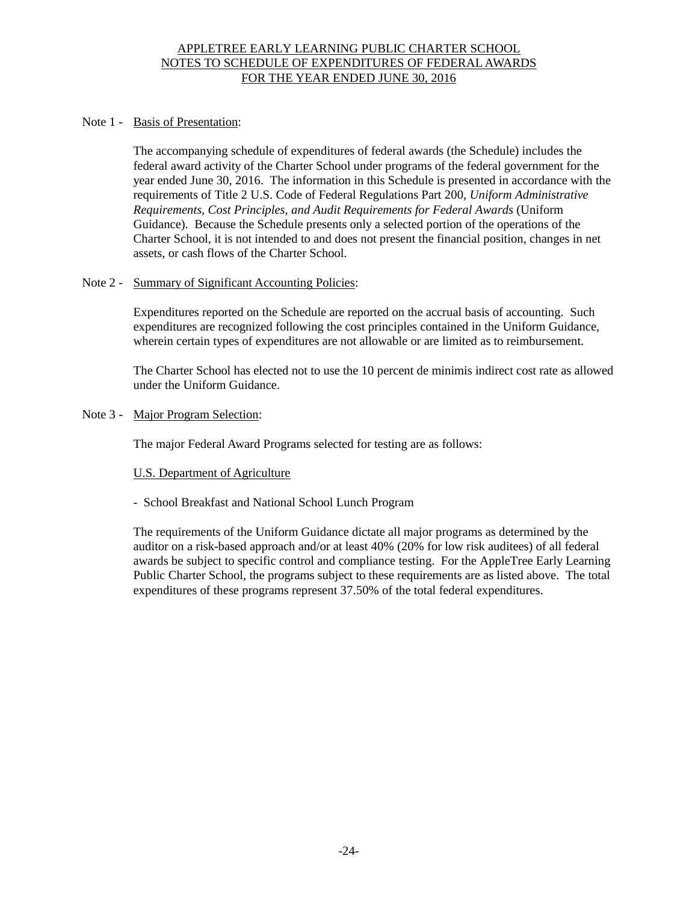#### APPLETREE EARLY LEARNING PUBLIC CHARTER SCHOOL NOTES TO SCHEDULE OF EXPENDITURES OF FEDERAL AWARDS FOR THE YEAR ENDED JUNE 30, 2016

#### Note 3 - Major Program Selection: (Continued)

| Programs                                          | CFDA#   | Expenditures |
|---------------------------------------------------|---------|--------------|
| SOAR, Increasing Academic Quality                 | 84.370A | \$<br>6,000  |
| SOAR, Early Childhood                             | 84.370A | 285,241      |
| Special Education - IDEA 611, Grants to Local     |         |              |
| <b>Education Agencies</b>                         | 84.027A | 6,523        |
| Special Education - IDEA 619, Preschool Grants to |         |              |
| <b>Local Education Agencies</b>                   | 84.173A | 1,732        |
| McKinney-Vento Education for Homeless Children    |         |              |
| and Youth Program                                 | 84.196A | 250          |
| <b>Fresh Fruits and Vegetables</b>                | 10.582  | 37,116       |
| National School Lunch Program                     | 10.555  | 277,299*     |
| School Breakfast Program                          | 10.553  | 81,687*      |
| Child Care and Development Fund                   | 93.575  | 36,832       |
| Temporary Assistance for Needy Families           | 93.558  | 108,039      |
| Medicaid - School Based Services                  | 93.xxx  | 117,455      |
| <b>Total Federal Awards</b>                       |         | 958.1        |

Amount of

\* Denotes Major Program

#### Note 4 - Major Program Disclosure:

I. U.S. Department of Agriculture

#### 1) School Breakfast and National School Lunch Program

The objectives of the child nutrition cluster programs are to: (1) assist States in administering food services that provide healthful, nutritious meals to eligible children in public and non-profit private schools, residential childcare institutions, and summer recreation programs; and (2) encourage the domestic consumption of nutritious agricultural commodities.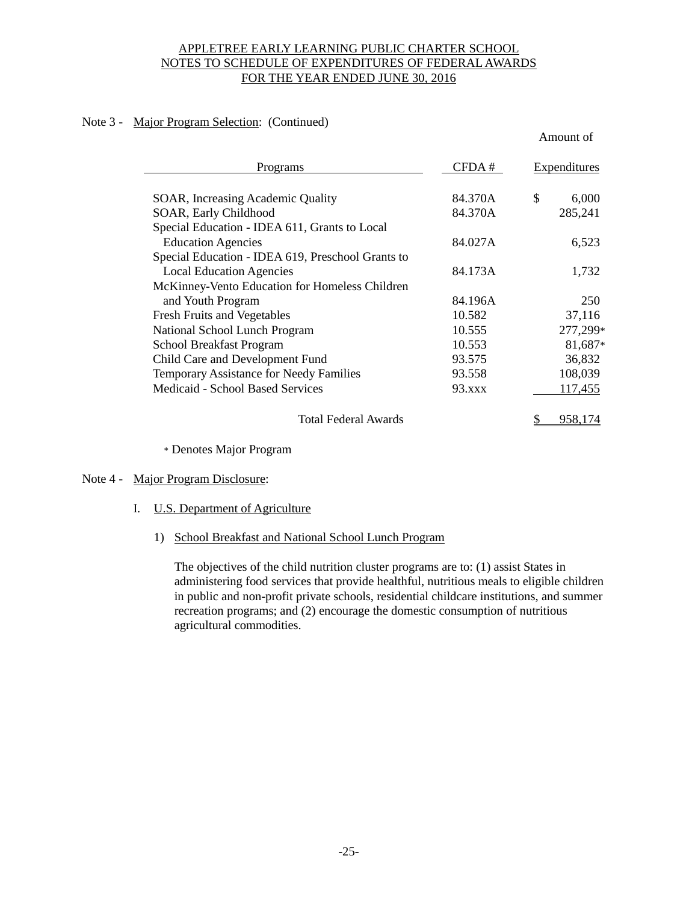Board of Trustees AppleTree Early Learning Public Charter School 415 Michigan Ave, NE Washington, DC 20017

# INDEPENDENT AUDITOR'S REPORT ON INTERNAL CONTROL OVER FINANCIAL REPORTING AND ON COMPLIANCE AND OTHER MATTERS BASED ON AN AUDIT OF FINANCIAL STATEMENTS PERFORMED IN ACCORDANCE WITH *GOVERNMENT AUDITING STANDARDS*

We have audited in accordance with auditing standards generally accepted in the United States of America and the standards applicable to financial audits contained in *Government Auditing Standards*, issued by the Comptroller General of the United States, the financial statements of AppleTree Early Learning Public Charter School (a nonprofit organization), which comprise the statement of financial position as of June 30, 2016, and the related statements of activities and cash flows for the year then ended, and the related notes to the financial statements, and have issued our report thereon dated October 14, 2016.

# *Internal Control Over Financial Reporting*

In planning and performing our audit of the financial statements, we considered AppleTree Early Learning Public Charter School's internal control over financial reporting (internal control) to determine the audit procedures that are appropriate in the circumstances for the purpose of expressing our opinion on the financial statements, but not for the purpose of expressing an opinion on the effectiveness of AppleTree Early Learning Public Charter School's internal control. Accordingly, we do not express an opinion on the effectiveness of the Organization's internal control.

A *deficiency in internal control* exists when the design or operation of a control does not allow management or employees, in the normal course of performing their assigned functions, to prevent, or detect and correct, misstatements on a timely basis. A *material weakness* is a deficiency, or a combination of deficiencies, in internal control, such that there is a reasonable possibility that a material misstatement of the entity's financial statements will not be prevented, or detected and corrected on a timely basis. A *significant deficiency* is a deficiency, or a combination of deficiencies, in internal control that is less severe than a material weakness, yet important enough to merit attention by those charged with governance.

Our consideration of internal control was for the limited purpose described in the first paragraph of this section and was not designed to identify all deficiencies in internal control that might be material weaknesses or significant deficiencies. Given these limitations, during our audit we did not identify any deficiencies in internal control that we consider to be material weaknesses. However, material weaknesses may exist that have not been identified.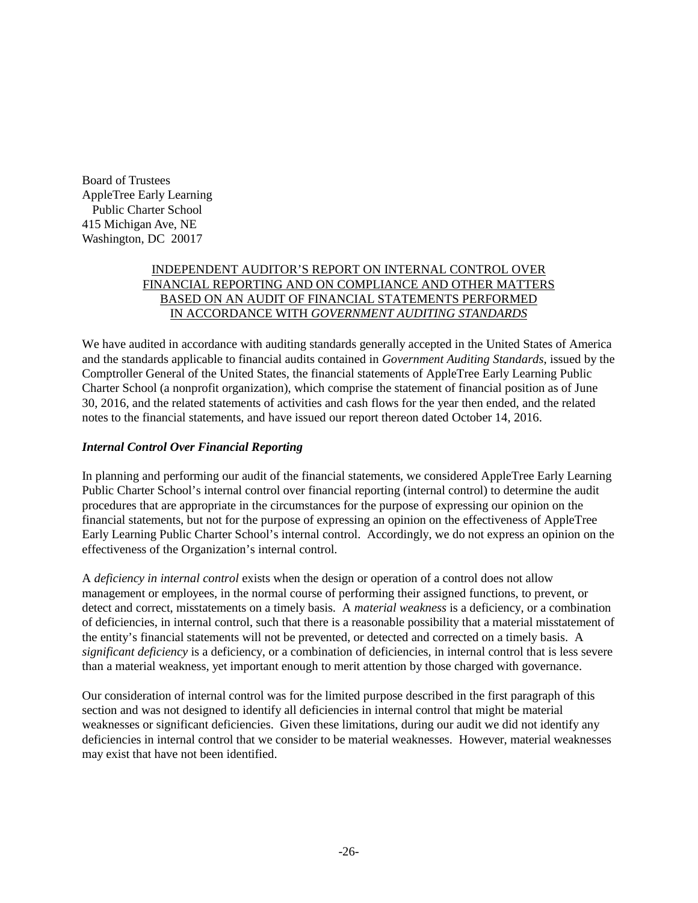# *Compliance and Other Matters*

As part of obtaining reasonable assurance about whether AppleTree Early Learning Public Charter School's financial statements are free from material misstatement, we performed tests of its compliance with certain provisions of laws, regulations, contracts and grant agreements, noncompliance with which could have a direct and material effect on the determination of financial statement amounts. However, providing an opinion on compliance with those provisions was not an objective of our audit and accordingly, we do not express such an opinion. The results of our tests disclosed no instances of noncompliance or other matters that are required to be reported under *Government Auditing Standards*.

# *Purpose of this Report*

The purpose of this report is solely to describe the scope of our testing of internal control and compliance and the results of that testing, and not to provide an opinion on the effectiveness of the organization's internal control or on compliance. This report is an integral part of an audit performed in accordance with *Government Auditing Standards* in considering the organization's internal control and compliance. Accordingly, this communication is not suitable for any other purpose.

> Kendall, Prebola and Jones Certified Public Accountants

Bedford, Pennsylvania October 14, 2016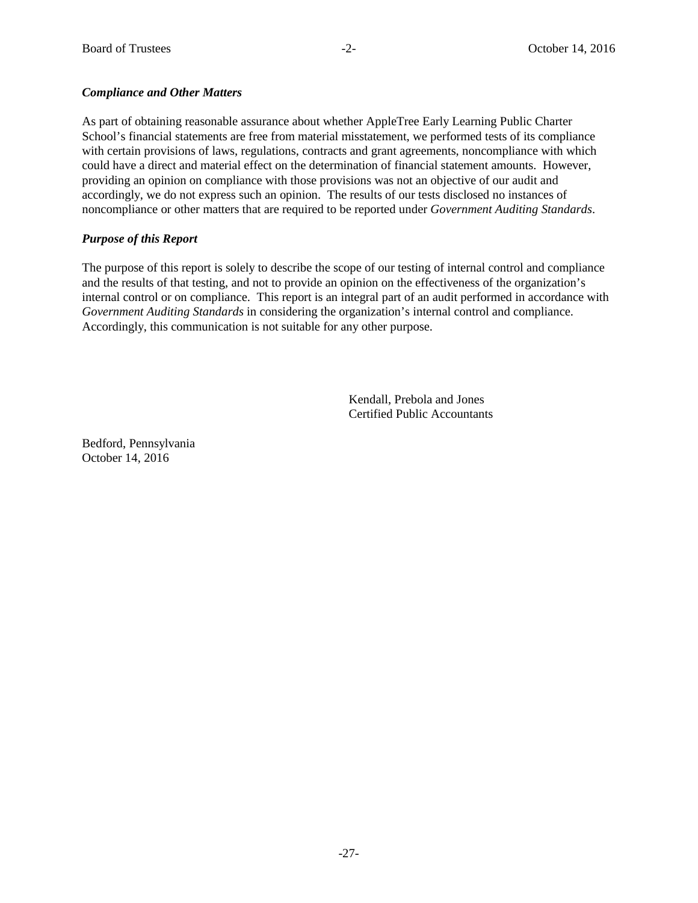Board of Trustees AppleTree Early Learning Public Charter School 415 Michigan Ave, NE Washington, DC 20017

#### INDEPENDENT AUDITOR'S REPORT ON COMPLIANCE FOR EACH MAJOR PROGRAM AND ON INTERNAL CONTROL OVER COMPLIANCE REQUIRED BY THE UNIFORM GUIDANCE

#### *Report on Compliance for Each Major Federal Program*

We have audited the AppleTree Early Learning Public Charter School's (a nonprofit organization) compliance with the types of compliance requirements described in the *Compliance Supplement* that could have a direct and material effect on each of AppleTree Early Learning Public Charter School's major federal programs for the year ended June 30, 2016. The AppleTree Early Learning Public Charter School's major federal programs are identified in the summary of auditor's results section of the accompanying schedule of findings and questioned costs and in the notes to the Schedule of Expenditures of Federal Awards.

#### *Management's Responsibility*

Management is responsible for compliance with federal statutes, regulations, and terms and conditions of its federal awards applicable to its federal programs.

#### *Auditor's Responsibility*

Our responsibility is to express an opinion on compliance for each of the AppleTree Early Learning Public Charter School's major federal programs based on our audit of the types of compliance requirements referred to above. We conducted our audit of compliance in accordance with auditing standards generally accepted in the United States of America; the standards applicable to financial audits contained in *Government Auditing Standards*, issued by the Comptroller General of the United States; and the audit requirements of Title 2 U.S. Code of Federal Regulations Part 200, *Uniform Administrative Requirements, Cost Principles, and Audit Requirements for Federal Awards* (Uniform Guidance). Those standards and the Uniform Guidance require that we plan and perform the audit to obtain reasonable assurance about whether noncompliance with the types of compliance requirements referred to above that could have a direct and material effect on a major federal program occurred. An audit includes examining, on a test basis, evidence about the AppleTree Early Learning Public Charter School's compliance with those requirements and performing such other procedures as we considered necessary in the circumstances.

We believe that our audit provides a reasonable basis for our opinion on compliance for each major federal program. However, our audit does not provide a legal determination of the AppleTree Early Learning Public Charter School's compliance.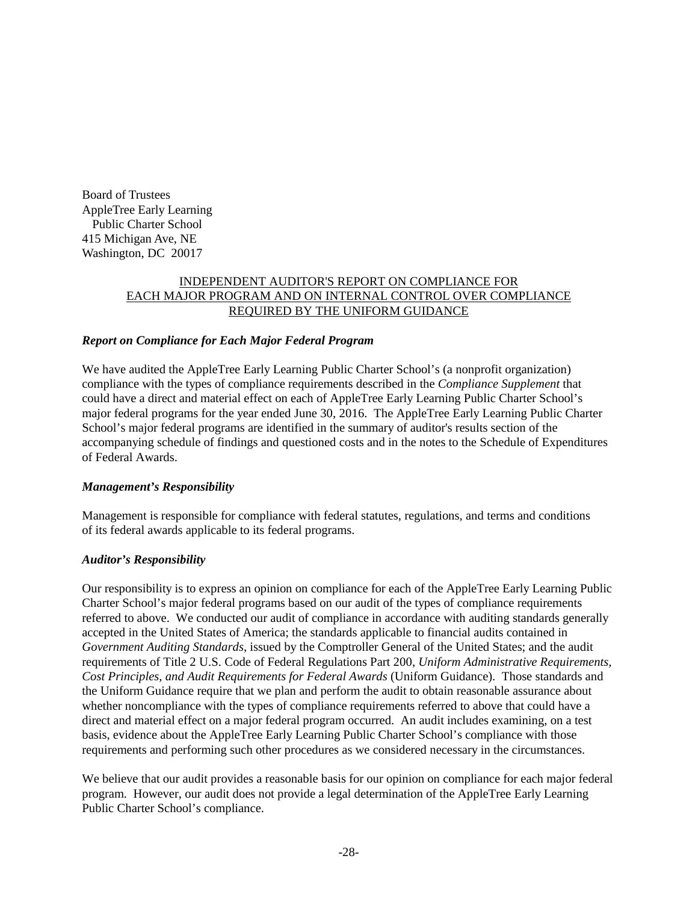# *Opinion on Each Major Federal Award Program*

In our opinion, the AppleTree Early Learning Public Charter School, complied, in all material respects, with the types of compliance requirements referred to above that could have a direct and material effect on each of its major federal programs for the year ended June 30, 2016.

# *Report on Internal Control Over Compliance*

Management of the AppleTree Early Learning Public Charter School is responsible for establishing and maintaining effective internal control over compliance with the types of requirements referred to above. In planning and performing our audit of compliance, we considered the AppleTree Early Learning Public Charter School's internal control over compliance with the types of requirements that could have a direct and material effect on each major federal program to determine the auditing procedures that are appropriate in the circumstances for the purpose of expressing an opinion on compliance for each major federal program and to test and report on internal control over compliance in accordance with the Uniform Guidance, but not for the purpose of expressing an opinion on the effectiveness of internal control over compliance. Accordingly, we do not express an opinion on the effectiveness of the AppleTree Early Learning Public Charter School's internal control over compliance.

A *deficiency in internal control over compliance* exists when the design or operation of a control over compliance does not allow management or employees, in the normal course of performing their assigned functions, to prevent, or detect and correct, noncompliance with a type of compliance requirement of a federal program on a timely basis. A *material weakness in internal control over compliance* is a deficiency, or a combination of deficiencies, in internal control over compliance, such that there is a reasonable possibility that material noncompliance with a type of compliance requirement of a federal program will not be prevented, or detected and corrected, on a timely basis. A *significant deficiency in internal control over compliance* is a deficiency, or a combination of deficiencies, in internal control over compliance with a type of compliance requirement of a federal program that is less severe than a material weakness in internal control over compliance, yet important enough to merit attention by those charged with governance.

Our consideration of internal control over compliance was for the limited purpose described in the first paragraph of this section and was not designed to identify all deficiencies in internal control over compliance that might be material weaknesses or significant deficiencies. We did not identify any deficiencies in internal control over compliance that we consider to be material weaknesses. However, material weaknesses may exist that have not been identified.

The purpose of this report on internal control over compliance is solely to describe the scope of our testing of internal control over compliance and the results of that testing based on the requirements of the Uniform Guidance. Accordingly, this report is not suitable for any other purpose.

> Kendall, Prebola and Jones Certified Public Accountants

Bedford, Pennsylvania October 14, 2016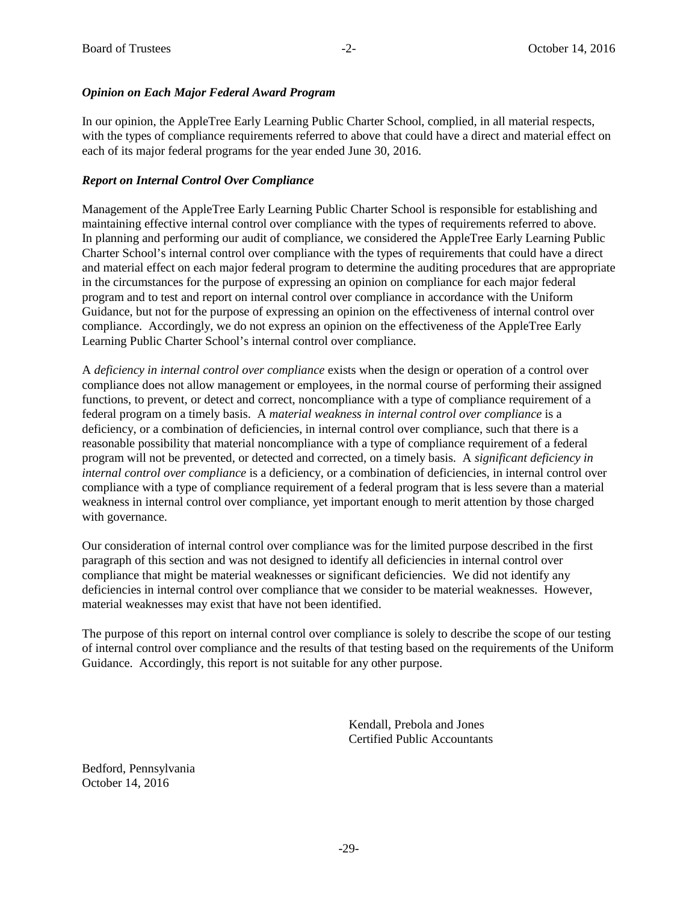# APPLETREE EARLY LEARNING PUBLIC CHARTER SCHOOL SUMMARY SCHEDULE OF PRIOR AUDIT FINDINGS FOR THE YEAR ENDED JUNE 30, 2016

- I. Findings relating to the federal awards, which are required to be reported in accordance with the Uniform Guidance
	- 2015-01 Condition During audit testing as it related to the National School Lunch and Breakfast Program, documentation was requested for a sample of separate families to determine whether the eligibility status was properly determined. The families selected for testing represented the same families that were selected by the Charter School from their random sample of three percent (3%) of the total approved applications. Upon inquiry, it was determined that only one application was able to be provided to us.

Status - This finding was not repeated in the current year.